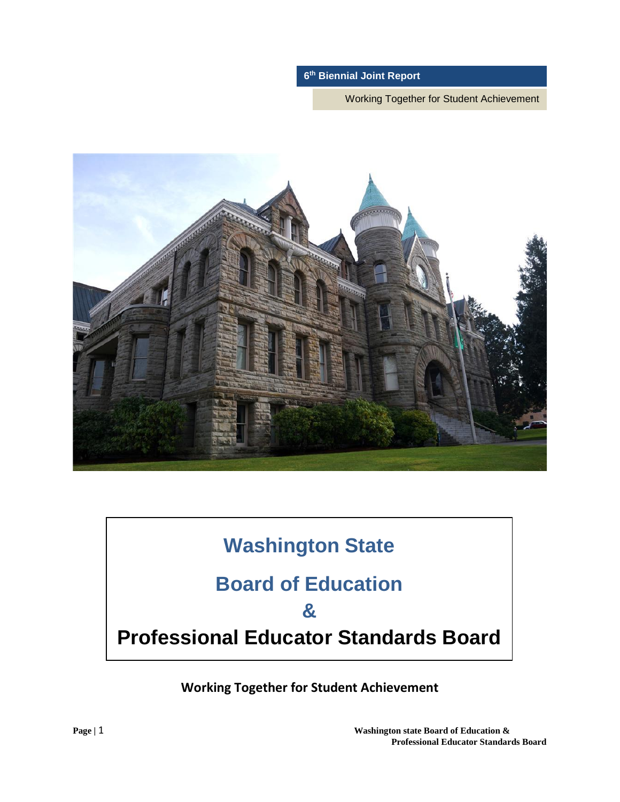Working Together for Student Achievement



# **Washington State**

# **Board of Education**

# **&**

# **Professional Educator Standards Board**

**Working Together for Student Achievement**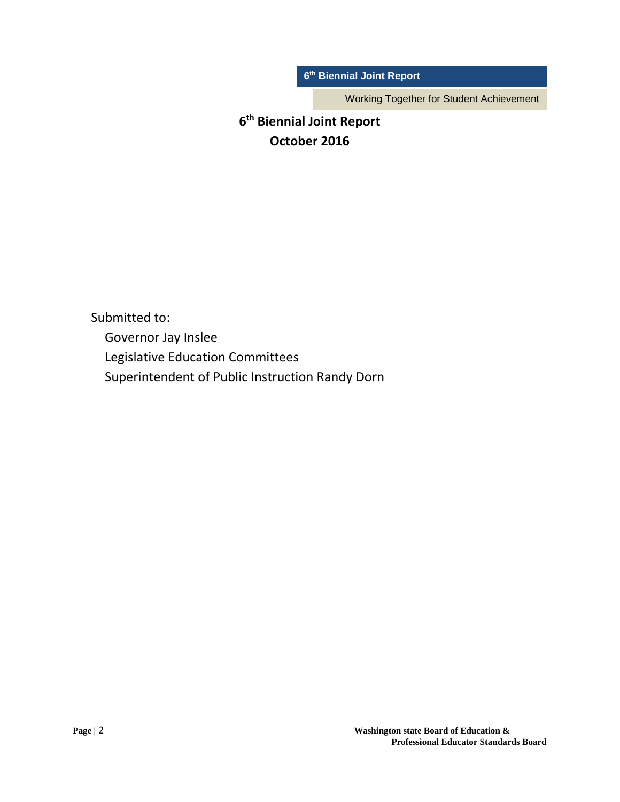Working Together for Student Achievement

# **6th Biennial Joint Report October 2016**

Submitted to: Governor Jay Inslee Legislative Education Committees Superintendent of Public Instruction Randy Dorn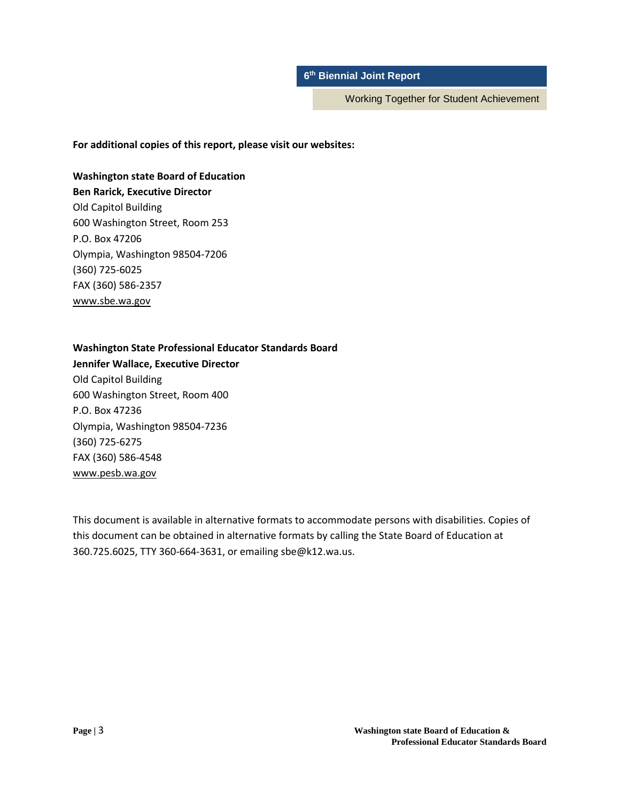Working Together for Student Achievement

### **For additional copies of this report, please visit our websites:**

**Washington state Board of Education Ben Rarick, Executive Director** Old Capitol Building 600 Washington Street, Room 253 P.O. Box 47206 Olympia, Washington 98504-7206 (360) 725-6025 FAX (360) 586-2357

[www.sbe.wa.gov](http://www.sbe.wa.gov/)

#### **Washington State Professional Educator Standards Board**

**Jennifer Wallace, Executive Director** Old Capitol Building 600 Washington Street, Room 400 P.O. Box 47236 Olympia, Washington 98504-7236 (360) 725-6275 FAX (360) 586-4548 [www.pesb.wa.gov](http://www.pesb.wa.gov/)

This document is available in alternative formats to accommodate persons with disabilities. Copies of this document can be obtained in alternative formats by calling the State Board of Education at 360.725.6025, TTY 360-664-3631, or emailing sbe@k12.wa.us.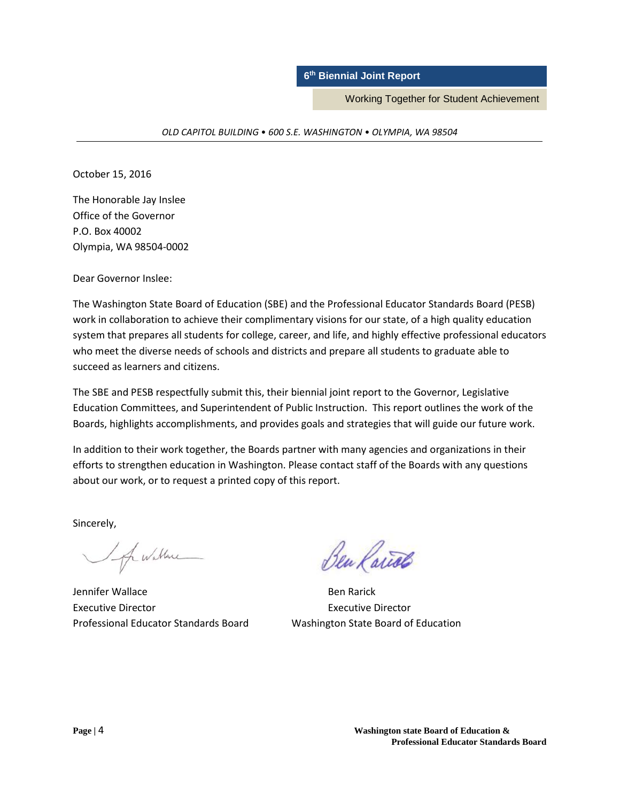Working Together for Student Achievement

*OLD CAPITOL BUILDING* • *600 S.E. WASHINGTON* • *OLYMPIA, WA 98504*

October 15, 2016

The Honorable Jay Inslee Office of the Governor P.O. Box 40002 Olympia, WA 98504-0002

Dear Governor Inslee:

The Washington State Board of Education (SBE) and the Professional Educator Standards Board (PESB) work in collaboration to achieve their complimentary visions for our state, of a high quality education system that prepares all students for college, career, and life, and highly effective professional educators who meet the diverse needs of schools and districts and prepare all students to graduate able to succeed as learners and citizens.

The SBE and PESB respectfully submit this, their biennial joint report to the Governor, Legislative Education Committees, and Superintendent of Public Instruction. This report outlines the work of the Boards, highlights accomplishments, and provides goals and strategies that will guide our future work.

In addition to their work together, the Boards partner with many agencies and organizations in their efforts to strengthen education in Washington. Please contact staff of the Boards with any questions about our work, or to request a printed copy of this report.

Sincerely,

I of wallene

Jennifer Wallace **Ben Rarick** Executive Director Executive Director Professional Educator Standards Board Washington State Board of Education

Ben Rairos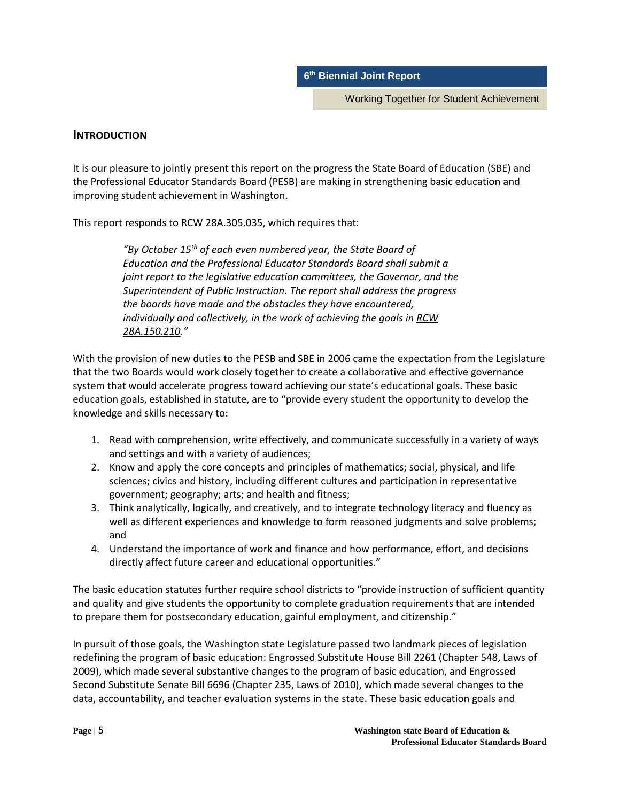Working Together for Student Achievement

### **INTRODUCTION**

It is our pleasure to jointly present this report on the progress the State Board of Education (SBE) and the Professional Educator Standards Board (PESB) are making in strengthening basic education and improving student achievement in Washington.

This report responds to RCW 28A.305.035, which requires that:

*"By October 15th of each even numbered year, the State Board of Education and the Professional Educator Standards Board shall submit a joint report to the legislative education committees, the Governor, and the Superintendent of Public Instruction. The report shall address the progress the boards have made and the obstacles they have encountered, individually and collectively, in the work of achieving the goals in [RCW](http://apps.leg.wa.gov/RCW/default.aspx?cite=28A.150.210)  [28A.150.210.](http://apps.leg.wa.gov/RCW/default.aspx?cite=28A.150.210)"*

With the provision of new duties to the PESB and SBE in 2006 came the expectation from the Legislature that the two Boards would work closely together to create a collaborative and effective governance system that would accelerate progress toward achieving our state's educational goals. These basic education goals, established in statute, are to "provide every student the opportunity to develop the knowledge and skills necessary to:

- 1. Read with comprehension, write effectively, and communicate successfully in a variety of ways and settings and with a variety of audiences;
- 2. Know and apply the core concepts and principles of mathematics; social, physical, and life sciences; civics and history, including different cultures and participation in representative government; geography; arts; and health and fitness;
- 3. Think analytically, logically, and creatively, and to integrate technology literacy and fluency as well as different experiences and knowledge to form reasoned judgments and solve problems; and
- 4. Understand the importance of work and finance and how performance, effort, and decisions directly affect future career and educational opportunities."

The basic education statutes further require school districts to "provide instruction of sufficient quantity and quality and give students the opportunity to complete graduation requirements that are intended to prepare them for postsecondary education, gainful employment, and citizenship."

In pursuit of those goals, the Washington state Legislature passed two landmark pieces of legislation redefining the program of basic education: Engrossed Substitute House Bill 2261 (Chapter 548, Laws of 2009), which made several substantive changes to the program of basic education, and Engrossed Second Substitute Senate Bill 6696 (Chapter 235, Laws of 2010), which made several changes to the data, accountability, and teacher evaluation systems in the state. These basic education goals and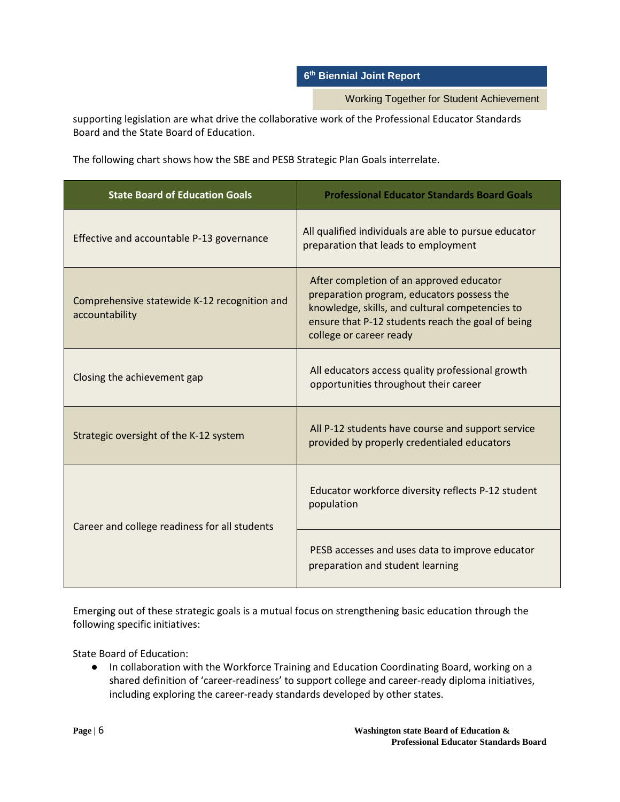Working Together for Student Achievement

supporting legislation are what drive the collaborative work of the Professional Educator Standards Board and the State Board of Education.

The following chart shows how the SBE and PESB Strategic Plan Goals interrelate.

| <b>State Board of Education Goals</b>                          | <b>Professional Educator Standards Board Goals</b>                                                                                                                                                                        |
|----------------------------------------------------------------|---------------------------------------------------------------------------------------------------------------------------------------------------------------------------------------------------------------------------|
| Effective and accountable P-13 governance                      | All qualified individuals are able to pursue educator<br>preparation that leads to employment                                                                                                                             |
| Comprehensive statewide K-12 recognition and<br>accountability | After completion of an approved educator<br>preparation program, educators possess the<br>knowledge, skills, and cultural competencies to<br>ensure that P-12 students reach the goal of being<br>college or career ready |
| Closing the achievement gap                                    | All educators access quality professional growth<br>opportunities throughout their career                                                                                                                                 |
| Strategic oversight of the K-12 system                         | All P-12 students have course and support service<br>provided by properly credentialed educators                                                                                                                          |
| Career and college readiness for all students                  | Educator workforce diversity reflects P-12 student<br>population                                                                                                                                                          |
|                                                                | PESB accesses and uses data to improve educator<br>preparation and student learning                                                                                                                                       |

Emerging out of these strategic goals is a mutual focus on strengthening basic education through the following specific initiatives:

State Board of Education:

● In collaboration with the Workforce Training and Education Coordinating Board, working on a shared definition of 'career-readiness' to support college and career-ready diploma initiatives, including exploring the career-ready standards developed by other states.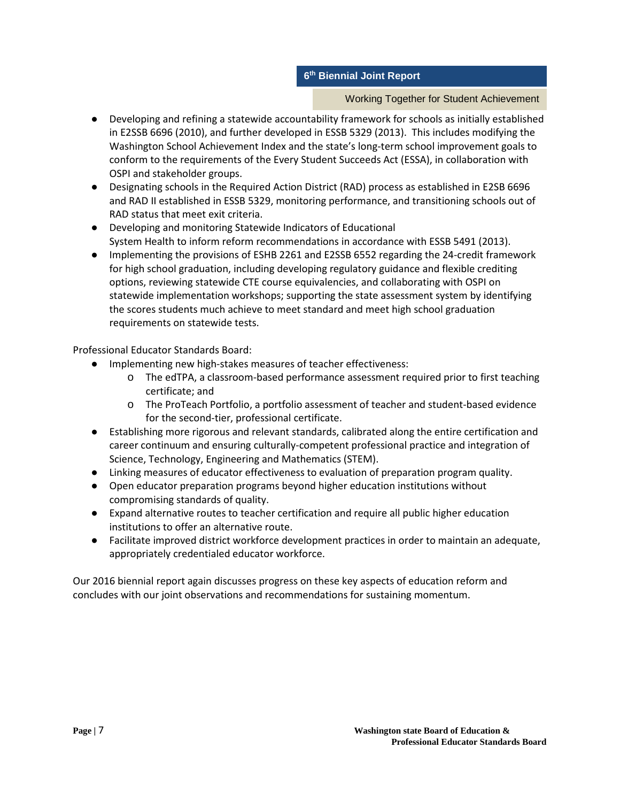### Working Together for Student Achievement

- Developing and refining a statewide accountability framework for schools as initially established in E2SSB 6696 (2010), and further developed in ESSB 5329 (2013). This includes modifying the Washington School Achievement Index and the state's long-term school improvement goals to conform to the requirements of the Every Student Succeeds Act (ESSA), in collaboration with OSPI and stakeholder groups.
- Designating schools in the Required Action District (RAD) process as established in E2SB 6696 and RAD II established in ESSB 5329, monitoring performance, and transitioning schools out of RAD status that meet exit criteria.
- Developing and monitoring Statewide Indicators of Educational System Health to inform reform recommendations in accordance with ESSB 5491 (2013).
- Implementing the provisions of ESHB 2261 and E2SSB 6552 regarding the 24-credit framework for high school graduation, including developing regulatory guidance and flexible crediting options, reviewing statewide CTE course equivalencies, and collaborating with OSPI on statewide implementation workshops; supporting the state assessment system by identifying the scores students much achieve to meet standard and meet high school graduation requirements on statewide tests.

Professional Educator Standards Board:

- Implementing new high-stakes measures of teacher effectiveness:
	- o The edTPA, a classroom-based performance assessment required prior to first teaching certificate; and
	- o The ProTeach Portfolio, a portfolio assessment of teacher and student-based evidence for the second-tier, professional certificate.
- Establishing more rigorous and relevant standards, calibrated along the entire certification and career continuum and ensuring culturally-competent professional practice and integration of Science, Technology, Engineering and Mathematics (STEM).
- Linking measures of educator effectiveness to evaluation of preparation program quality.
- Open educator preparation programs beyond higher education institutions without compromising standards of quality.
- Expand alternative routes to teacher certification and require all public higher education institutions to offer an alternative route.
- Facilitate improved district workforce development practices in order to maintain an adequate, appropriately credentialed educator workforce.

Our 2016 biennial report again discusses progress on these key aspects of education reform and concludes with our joint observations and recommendations for sustaining momentum.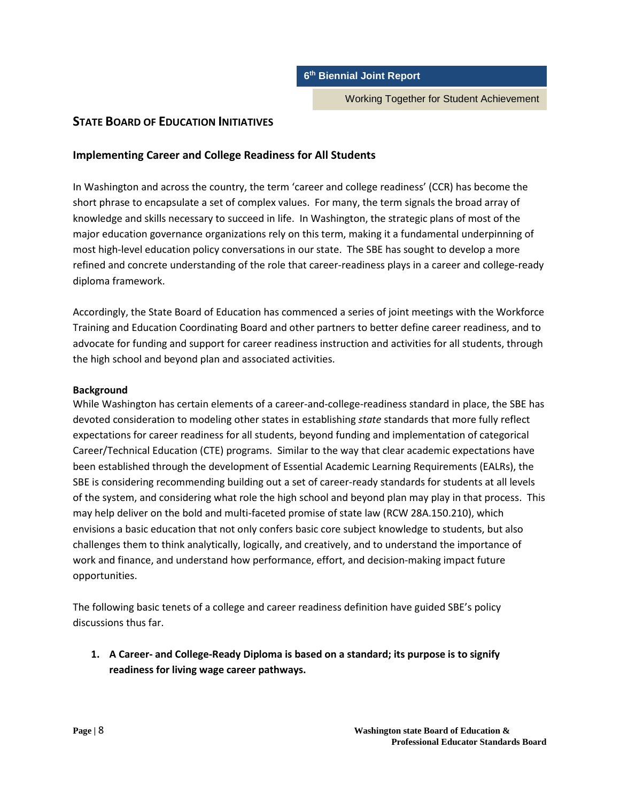Working Together for Student Achievement

# **STATE BOARD OF EDUCATION INITIATIVES**

# **Implementing Career and College Readiness for All Students**

In Washington and across the country, the term 'career and college readiness' (CCR) has become the short phrase to encapsulate a set of complex values. For many, the term signals the broad array of knowledge and skills necessary to succeed in life. In Washington, the strategic plans of most of the major education governance organizations rely on this term, making it a fundamental underpinning of most high-level education policy conversations in our state. The SBE has sought to develop a more refined and concrete understanding of the role that career-readiness plays in a career and college-ready diploma framework.

Accordingly, the State Board of Education has commenced a series of joint meetings with the Workforce Training and Education Coordinating Board and other partners to better define career readiness, and to advocate for funding and support for career readiness instruction and activities for all students, through the high school and beyond plan and associated activities.

### **Background**

While Washington has certain elements of a career-and-college-readiness standard in place, the SBE has devoted consideration to modeling other states in establishing *state* standards that more fully reflect expectations for career readiness for all students, beyond funding and implementation of categorical Career/Technical Education (CTE) programs. Similar to the way that clear academic expectations have been established through the development of Essential Academic Learning Requirements (EALRs), the SBE is considering recommending building out a set of career-ready standards for students at all levels of the system, and considering what role the high school and beyond plan may play in that process. This may help deliver on the bold and multi-faceted promise of state law (RCW 28A.150.210), which envisions a basic education that not only confers basic core subject knowledge to students, but also challenges them to think analytically, logically, and creatively, and to understand the importance of work and finance, and understand how performance, effort, and decision-making impact future opportunities.

The following basic tenets of a college and career readiness definition have guided SBE's policy discussions thus far.

**1. A Career- and College-Ready Diploma is based on a standard; its purpose is to signify readiness for living wage career pathways.**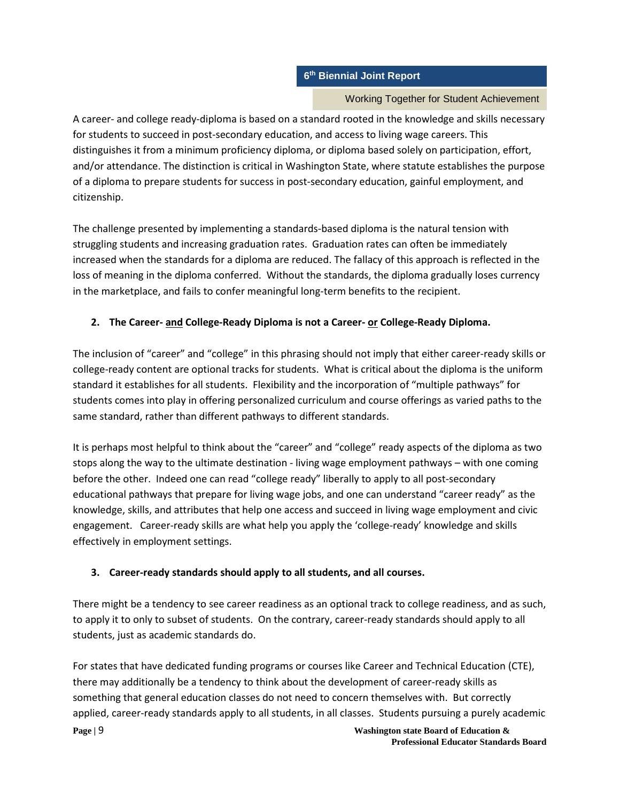### Working Together for Student Achievement

A career- and college ready-diploma is based on a standard rooted in the knowledge and skills necessary for students to succeed in post-secondary education, and access to living wage careers. This distinguishes it from a minimum proficiency diploma, or diploma based solely on participation, effort, and/or attendance. The distinction is critical in Washington State, where statute establishes the purpose of a diploma to prepare students for success in post-secondary education, gainful employment, and citizenship.

The challenge presented by implementing a standards-based diploma is the natural tension with struggling students and increasing graduation rates. Graduation rates can often be immediately increased when the standards for a diploma are reduced. The fallacy of this approach is reflected in the loss of meaning in the diploma conferred. Without the standards, the diploma gradually loses currency in the marketplace, and fails to confer meaningful long-term benefits to the recipient.

# **2. The Career- and College-Ready Diploma is not a Career- or College-Ready Diploma.**

The inclusion of "career" and "college" in this phrasing should not imply that either career-ready skills or college-ready content are optional tracks for students. What is critical about the diploma is the uniform standard it establishes for all students. Flexibility and the incorporation of "multiple pathways" for students comes into play in offering personalized curriculum and course offerings as varied paths to the same standard, rather than different pathways to different standards.

It is perhaps most helpful to think about the "career" and "college" ready aspects of the diploma as two stops along the way to the ultimate destination - living wage employment pathways – with one coming before the other. Indeed one can read "college ready" liberally to apply to all post-secondary educational pathways that prepare for living wage jobs, and one can understand "career ready" as the knowledge, skills, and attributes that help one access and succeed in living wage employment and civic engagement. Career-ready skills are what help you apply the 'college-ready' knowledge and skills effectively in employment settings.

# **3. Career-ready standards should apply to all students, and all courses.**

There might be a tendency to see career readiness as an optional track to college readiness, and as such, to apply it to only to subset of students. On the contrary, career-ready standards should apply to all students, just as academic standards do.

For states that have dedicated funding programs or courses like Career and Technical Education (CTE), there may additionally be a tendency to think about the development of career-ready skills as something that general education classes do not need to concern themselves with. But correctly applied, career-ready standards apply to all students, in all classes. Students pursuing a purely academic

**Page |** 9 **Washington state Board of Education & Professional Educator Standards Board**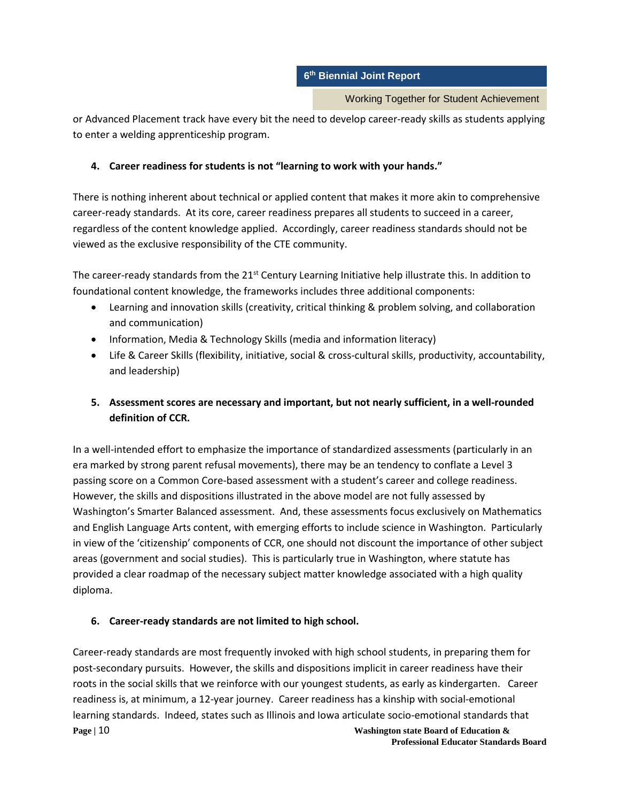Working Together for Student Achievement

or Advanced Placement track have every bit the need to develop career-ready skills as students applying to enter a welding apprenticeship program.

# **4. Career readiness for students is not "learning to work with your hands."**

There is nothing inherent about technical or applied content that makes it more akin to comprehensive career-ready standards. At its core, career readiness prepares all students to succeed in a career, regardless of the content knowledge applied. Accordingly, career readiness standards should not be viewed as the exclusive responsibility of the CTE community.

The career-ready standards from the  $21<sup>st</sup>$  Century Learning Initiative help illustrate this. In addition to foundational content knowledge, the frameworks includes three additional components:

- Learning and innovation skills (creativity, critical thinking & problem solving, and collaboration and communication)
- Information, Media & Technology Skills (media and information literacy)
- Life & Career Skills (flexibility, initiative, social & cross-cultural skills, productivity, accountability, and leadership)
- **5. Assessment scores are necessary and important, but not nearly sufficient, in a well-rounded definition of CCR.**

In a well-intended effort to emphasize the importance of standardized assessments (particularly in an era marked by strong parent refusal movements), there may be an tendency to conflate a Level 3 passing score on a Common Core-based assessment with a student's career and college readiness. However, the skills and dispositions illustrated in the above model are not fully assessed by Washington's Smarter Balanced assessment. And, these assessments focus exclusively on Mathematics and English Language Arts content, with emerging efforts to include science in Washington. Particularly in view of the 'citizenship' components of CCR, one should not discount the importance of other subject areas (government and social studies). This is particularly true in Washington, where statute has provided a clear roadmap of the necessary subject matter knowledge associated with a high quality diploma.

# **6. Career-ready standards are not limited to high school.**

**Page | 10** Washington state Board of Education & Career-ready standards are most frequently invoked with high school students, in preparing them for post-secondary pursuits. However, the skills and dispositions implicit in career readiness have their roots in the social skills that we reinforce with our youngest students, as early as kindergarten. Career readiness is, at minimum, a 12-year journey. Career readiness has a kinship with social-emotional learning standards. Indeed, states such as Illinois and Iowa articulate socio-emotional standards that

**Professional Educator Standards Board**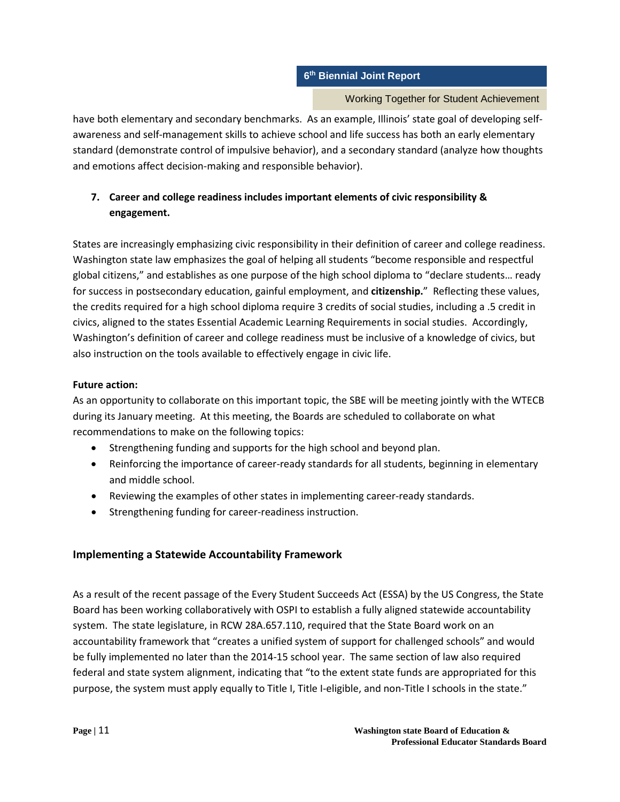### Working Together for Student Achievement

have both elementary and secondary benchmarks. As an example, Illinois' state goal of developing selfawareness and self-management skills to achieve school and life success has both an early elementary standard (demonstrate control of impulsive behavior), and a secondary standard (analyze how thoughts and emotions affect decision-making and responsible behavior).

# **7. Career and college readiness includes important elements of civic responsibility & engagement.**

States are increasingly emphasizing civic responsibility in their definition of career and college readiness. Washington state law emphasizes the goal of helping all students "become responsible and respectful global citizens," and establishes as one purpose of the high school diploma to "declare students… ready for success in postsecondary education, gainful employment, and **citizenship.**" Reflecting these values, the credits required for a high school diploma require 3 credits of social studies, including a .5 credit in civics, aligned to the states Essential Academic Learning Requirements in social studies. Accordingly, Washington's definition of career and college readiness must be inclusive of a knowledge of civics, but also instruction on the tools available to effectively engage in civic life.

### **Future action:**

As an opportunity to collaborate on this important topic, the SBE will be meeting jointly with the WTECB during its January meeting. At this meeting, the Boards are scheduled to collaborate on what recommendations to make on the following topics:

- Strengthening funding and supports for the high school and beyond plan.
- Reinforcing the importance of career-ready standards for all students, beginning in elementary and middle school.
- Reviewing the examples of other states in implementing career-ready standards.
- Strengthening funding for career-readiness instruction.

# **Implementing a Statewide Accountability Framework**

As a result of the recent passage of the Every Student Succeeds Act (ESSA) by the US Congress, the State Board has been working collaboratively with OSPI to establish a fully aligned statewide accountability system. The state legislature, in RCW 28A.657.110, required that the State Board work on an accountability framework that "creates a unified system of support for challenged schools" and would be fully implemented no later than the 2014-15 school year. The same section of law also required federal and state system alignment, indicating that "to the extent state funds are appropriated for this purpose, the system must apply equally to Title I, Title I-eligible, and non-Title I schools in the state."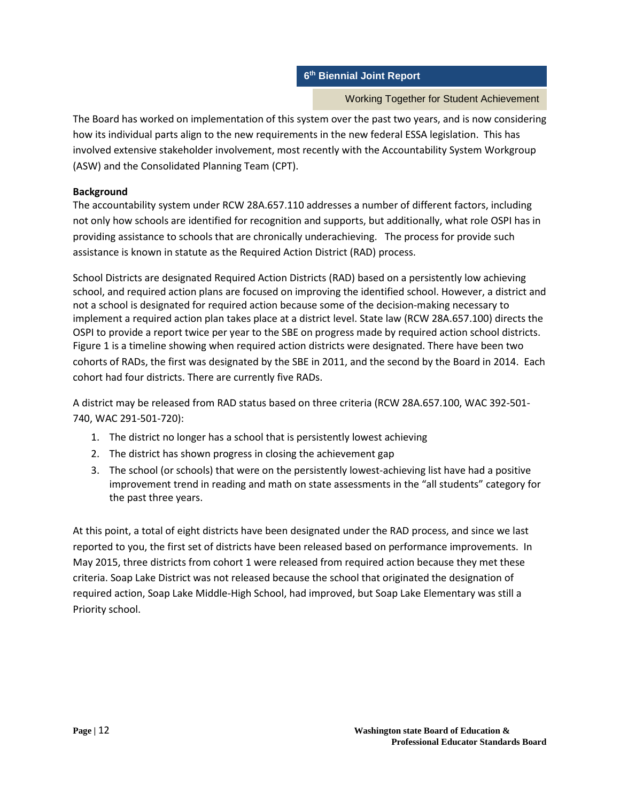Working Together for Student Achievement

The Board has worked on implementation of this system over the past two years, and is now considering how its individual parts align to the new requirements in the new federal ESSA legislation. This has involved extensive stakeholder involvement, most recently with the Accountability System Workgroup (ASW) and the Consolidated Planning Team (CPT).

# **Background**

The accountability system under RCW 28A.657.110 addresses a number of different factors, including not only how schools are identified for recognition and supports, but additionally, what role OSPI has in providing assistance to schools that are chronically underachieving. The process for provide such assistance is known in statute as the Required Action District (RAD) process.

School Districts are designated Required Action Districts (RAD) based on a persistently low achieving school, and required action plans are focused on improving the identified school. However, a district and not a school is designated for required action because some of the decision-making necessary to implement a required action plan takes place at a district level. State law (RCW 28A.657.100) directs the OSPI to provide a report twice per year to the SBE on progress made by required action school districts. Figure 1 is a timeline showing when required action districts were designated. There have been two cohorts of RADs, the first was designated by the SBE in 2011, and the second by the Board in 2014. Each cohort had four districts. There are currently five RADs.

A district may be released from RAD status based on three criteria (RCW 28A.657.100, WAC 392-501- 740, WAC 291-501-720):

- 1. The district no longer has a school that is persistently lowest achieving
- 2. The district has shown progress in closing the achievement gap
- 3. The school (or schools) that were on the persistently lowest-achieving list have had a positive improvement trend in reading and math on state assessments in the "all students" category for the past three years.

At this point, a total of eight districts have been designated under the RAD process, and since we last reported to you, the first set of districts have been released based on performance improvements. In May 2015, three districts from cohort 1 were released from required action because they met these criteria. Soap Lake District was not released because the school that originated the designation of required action, Soap Lake Middle-High School, had improved, but Soap Lake Elementary was still a Priority school.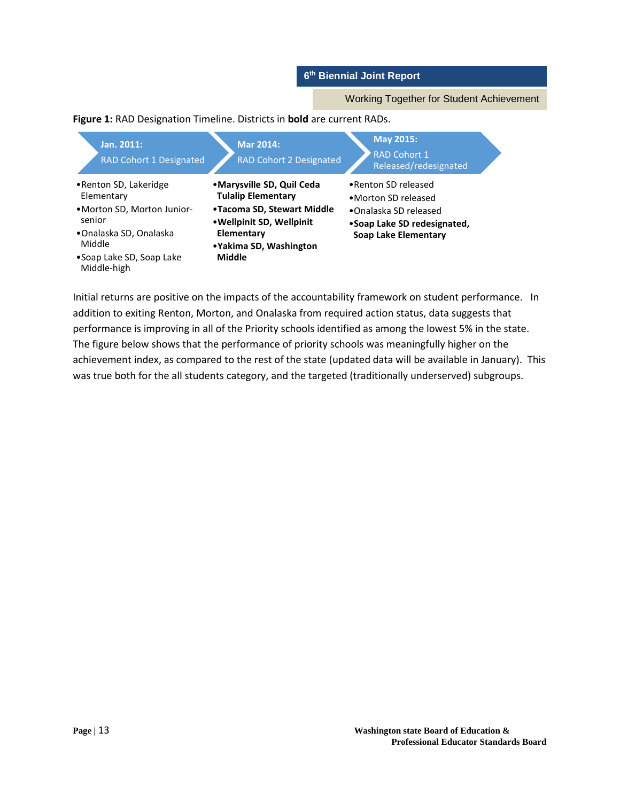Working Together for Student Achievement

### **Figure 1:** RAD Designation Timeline. Districts in **bold** are current RADs.

| Jan. 2011:<br>RAD Cohort 1 Designated                                                                                                                        | <b>Mar 2014:</b><br>RAD Cohort 2 Designated                                                                                                                          | May 2015:<br><b>RAD Cohort 1</b><br>Released/redesignated                                                                   |  |
|--------------------------------------------------------------------------------------------------------------------------------------------------------------|----------------------------------------------------------------------------------------------------------------------------------------------------------------------|-----------------------------------------------------------------------------------------------------------------------------|--|
| • Renton SD, Lakeridge<br>Elementary<br>• Morton SD, Morton Junior-<br>senior<br>•Onalaska SD, Onalaska<br>Middle<br>•Soap Lake SD, Soap Lake<br>Middle-high | •Marysville SD, Quil Ceda<br><b>Tulalip Elementary</b><br>•Tacoma SD, Stewart Middle<br>• Wellpinit SD, Wellpinit<br>Elementary<br>• Yakima SD, Washington<br>Middle | • Renton SD released<br>•Morton SD released<br>•Onalaska SD released<br>•Soap Lake SD redesignated,<br>Soap Lake Elementary |  |

Initial returns are positive on the impacts of the accountability framework on student performance. In addition to exiting Renton, Morton, and Onalaska from required action status, data suggests that performance is improving in all of the Priority schools identified as among the lowest 5% in the state. The figure below shows that the performance of priority schools was meaningfully higher on the achievement index, as compared to the rest of the state (updated data will be available in January). This was true both for the all students category, and the targeted (traditionally underserved) subgroups.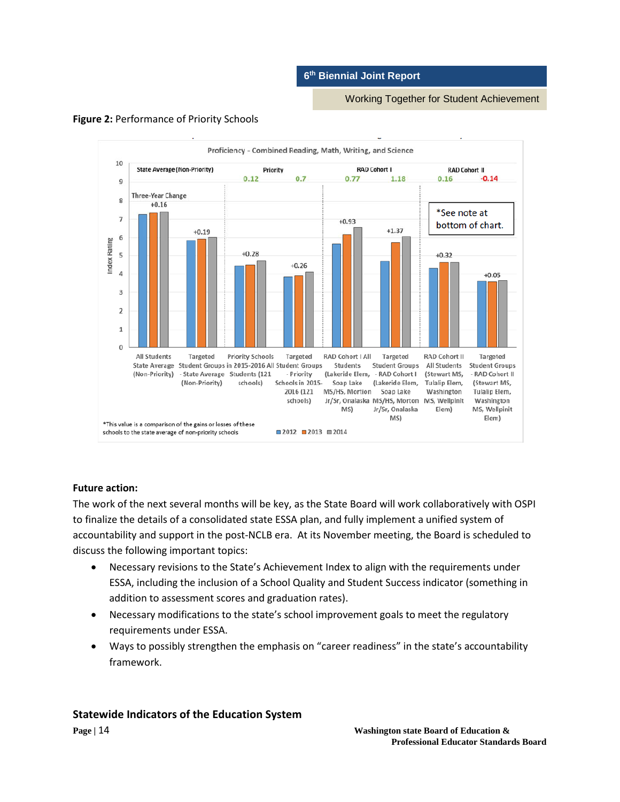Working Together for Student Achievement



#### **Figure 2:** Performance of Priority Schools

### **Future action:**

The work of the next several months will be key, as the State Board will work collaboratively with OSPI to finalize the details of a consolidated state ESSA plan, and fully implement a unified system of accountability and support in the post-NCLB era. At its November meeting, the Board is scheduled to discuss the following important topics:

- Necessary revisions to the State's Achievement Index to align with the requirements under ESSA, including the inclusion of a School Quality and Student Success indicator (something in addition to assessment scores and graduation rates).
- Necessary modifications to the state's school improvement goals to meet the regulatory requirements under ESSA.
- Ways to possibly strengthen the emphasis on "career readiness" in the state's accountability framework.

### **Statewide Indicators of the Education System**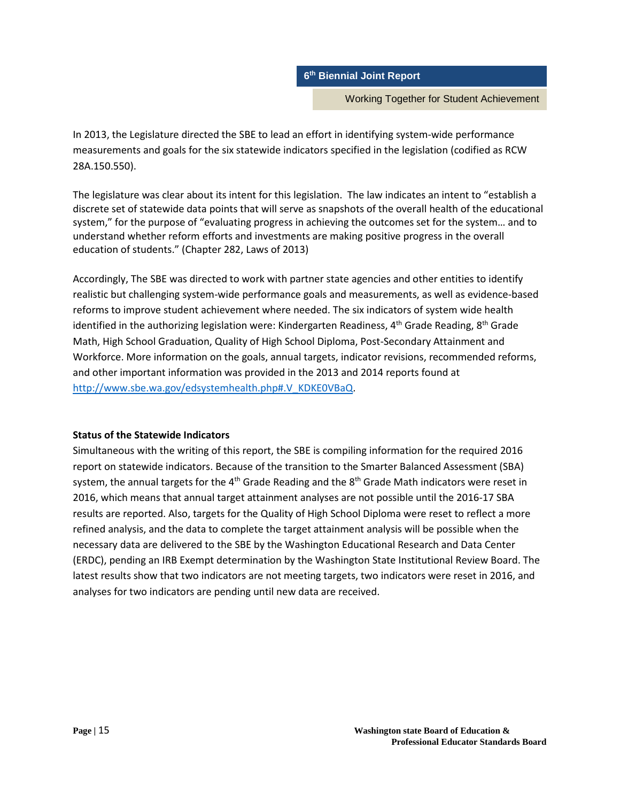Working Together for Student Achievement

In 2013, the Legislature directed the SBE to lead an effort in identifying system-wide performance measurements and goals for the six statewide indicators specified in the legislation (codified as RCW 28A.150.550).

The legislature was clear about its intent for this legislation. The law indicates an intent to "establish a discrete set of statewide data points that will serve as snapshots of the overall health of the educational system," for the purpose of "evaluating progress in achieving the outcomes set for the system… and to understand whether reform efforts and investments are making positive progress in the overall education of students." (Chapter 282, Laws of 2013)

Accordingly, The SBE was directed to work with partner state agencies and other entities to identify realistic but challenging system-wide performance goals and measurements, as well as evidence-based reforms to improve student achievement where needed. The six indicators of system wide health identified in the authorizing legislation were: Kindergarten Readiness,  $4<sup>th</sup>$  Grade Reading,  $8<sup>th</sup>$  Grade Math, High School Graduation, Quality of High School Diploma, Post-Secondary Attainment and Workforce. More information on the goals, annual targets, indicator revisions, recommended reforms, and other important information was provided in the 2013 and 2014 reports found at [http://www.sbe.wa.gov/edsystemhealth.php#.V\\_KDKE0VBaQ.](http://www.sbe.wa.gov/edsystemhealth.php#.V_KDKE0VBaQ)

#### **Status of the Statewide Indicators**

Simultaneous with the writing of this report, the SBE is compiling information for the required 2016 report on statewide indicators. Because of the transition to the Smarter Balanced Assessment (SBA) system, the annual targets for the  $4<sup>th</sup>$  Grade Reading and the  $8<sup>th</sup>$  Grade Math indicators were reset in 2016, which means that annual target attainment analyses are not possible until the 2016-17 SBA results are reported. Also, targets for the Quality of High School Diploma were reset to reflect a more refined analysis, and the data to complete the target attainment analysis will be possible when the necessary data are delivered to the SBE by the Washington Educational Research and Data Center (ERDC), pending an IRB Exempt determination by the Washington State Institutional Review Board. The latest results show that two indicators are not meeting targets, two indicators were reset in 2016, and analyses for two indicators are pending until new data are received.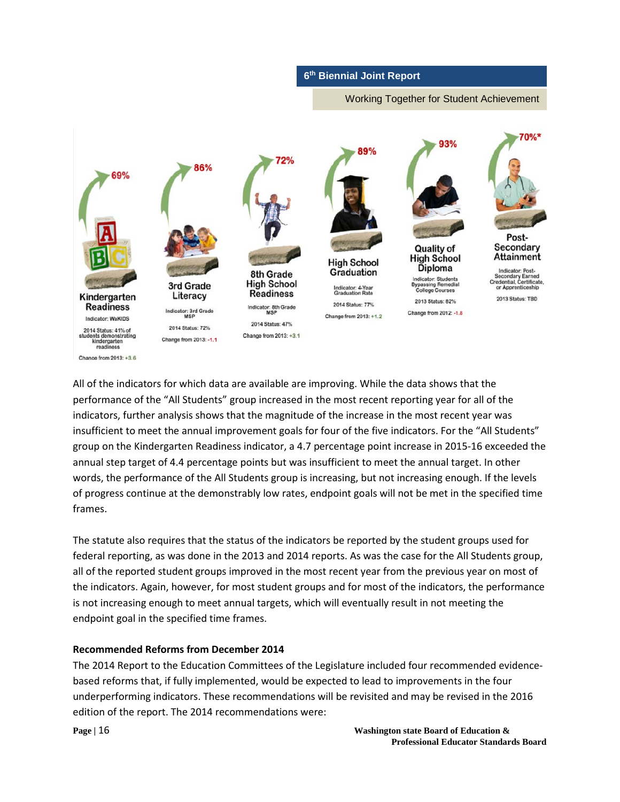Working Together for Student Achievement



All of the indicators for which data are available are improving. While the data shows that the performance of the "All Students" group increased in the most recent reporting year for all of the indicators, further analysis shows that the magnitude of the increase in the most recent year was insufficient to meet the annual improvement goals for four of the five indicators. For the "All Students" group on the Kindergarten Readiness indicator, a 4.7 percentage point increase in 2015-16 exceeded the annual step target of 4.4 percentage points but was insufficient to meet the annual target. In other words, the performance of the All Students group is increasing, but not increasing enough. If the levels of progress continue at the demonstrably low rates, endpoint goals will not be met in the specified time frames.

The statute also requires that the status of the indicators be reported by the student groups used for federal reporting, as was done in the 2013 and 2014 reports. As was the case for the All Students group, all of the reported student groups improved in the most recent year from the previous year on most of the indicators. Again, however, for most student groups and for most of the indicators, the performance is not increasing enough to meet annual targets, which will eventually result in not meeting the endpoint goal in the specified time frames.

### **Recommended Reforms from December 2014**

The 2014 Report to the Education Committees of the Legislature included four recommended evidencebased reforms that, if fully implemented, would be expected to lead to improvements in the four underperforming indicators. These recommendations will be revisited and may be revised in the 2016 edition of the report. The 2014 recommendations were: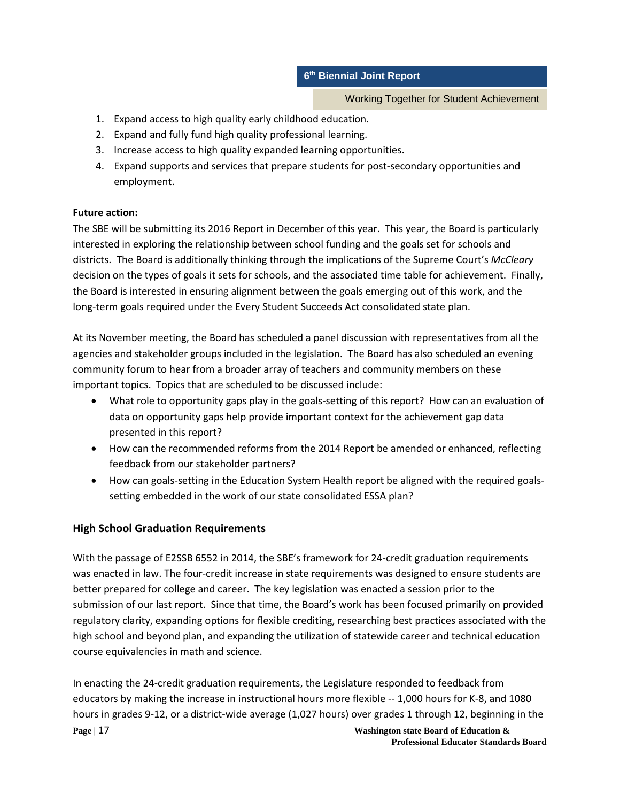Working Together for Student Achievement

- 1. Expand access to high quality early childhood education.
- 2. Expand and fully fund high quality professional learning.
- 3. Increase access to high quality expanded learning opportunities.
- 4. Expand supports and services that prepare students for post-secondary opportunities and employment.

# **Future action:**

The SBE will be submitting its 2016 Report in December of this year. This year, the Board is particularly interested in exploring the relationship between school funding and the goals set for schools and districts. The Board is additionally thinking through the implications of the Supreme Court's *McCleary* decision on the types of goals it sets for schools, and the associated time table for achievement. Finally, the Board is interested in ensuring alignment between the goals emerging out of this work, and the long-term goals required under the Every Student Succeeds Act consolidated state plan.

At its November meeting, the Board has scheduled a panel discussion with representatives from all the agencies and stakeholder groups included in the legislation. The Board has also scheduled an evening community forum to hear from a broader array of teachers and community members on these important topics. Topics that are scheduled to be discussed include:

- What role to opportunity gaps play in the goals-setting of this report? How can an evaluation of data on opportunity gaps help provide important context for the achievement gap data presented in this report?
- How can the recommended reforms from the 2014 Report be amended or enhanced, reflecting feedback from our stakeholder partners?
- How can goals-setting in the Education System Health report be aligned with the required goalssetting embedded in the work of our state consolidated ESSA plan?

# **High School Graduation Requirements**

With the passage of E2SSB 6552 in 2014, the SBE's framework for 24-credit graduation requirements was enacted in law. The four-credit increase in state requirements was designed to ensure students are better prepared for college and career. The key legislation was enacted a session prior to the submission of our last report. Since that time, the Board's work has been focused primarily on provided regulatory clarity, expanding options for flexible crediting, researching best practices associated with the high school and beyond plan, and expanding the utilization of statewide career and technical education course equivalencies in math and science.

**Page |** 17 **Washington state Board of Education &** In enacting the 24-credit graduation requirements, the Legislature responded to feedback from educators by making the increase in instructional hours more flexible -- 1,000 hours for K-8, and 1080 hours in grades 9-12, or a district-wide average (1,027 hours) over grades 1 through 12, beginning in the

**Professional Educator Standards Board**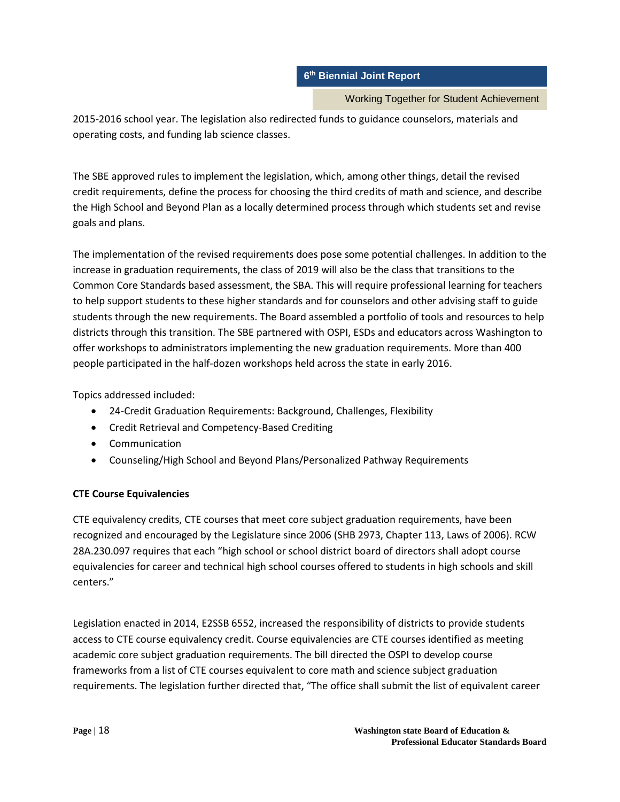Working Together for Student Achievement

2015-2016 school year. The legislation also redirected funds to guidance counselors, materials and operating costs, and funding lab science classes.

The SBE approved rules to implement the legislation, which, among other things, detail the revised credit requirements, define the process for choosing the third credits of math and science, and describe the High School and Beyond Plan as a locally determined process through which students set and revise goals and plans.

The implementation of the revised requirements does pose some potential challenges. In addition to the increase in graduation requirements, the class of 2019 will also be the class that transitions to the Common Core Standards based assessment, the SBA. This will require professional learning for teachers to help support students to these higher standards and for counselors and other advising staff to guide students through the new requirements. The Board assembled a portfolio of tools and resources to help districts through this transition. The SBE partnered with OSPI, ESDs and educators across Washington to offer workshops to administrators implementing the new graduation requirements. More than 400 people participated in the half-dozen workshops held across the state in early 2016.

Topics addressed included:

- 24-Credit Graduation Requirements: Background, Challenges, Flexibility
- Credit Retrieval and Competency-Based Crediting
- Communication
- Counseling/High School and Beyond Plans/Personalized Pathway Requirements

# **CTE Course Equivalencies**

CTE equivalency credits, CTE courses that meet core subject graduation requirements, have been recognized and encouraged by the Legislature since 2006 (SHB 2973, Chapter 113, Laws of 2006). RCW 28A.230.097 requires that each "high school or school district board of directors shall adopt course equivalencies for career and technical high school courses offered to students in high schools and skill centers."

Legislation enacted in 2014, E2SSB 6552, increased the responsibility of districts to provide students access to CTE course equivalency credit. Course equivalencies are CTE courses identified as meeting academic core subject graduation requirements. The bill directed the OSPI to develop course frameworks from a list of CTE courses equivalent to core math and science subject graduation requirements. The legislation further directed that, "The office shall submit the list of equivalent career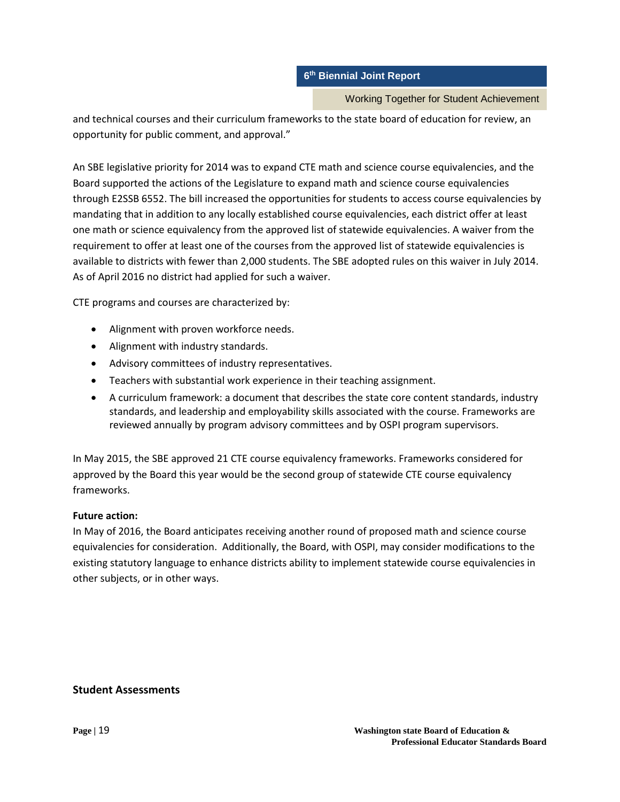### Working Together for Student Achievement

and technical courses and their curriculum frameworks to the state board of education for review, an opportunity for public comment, and approval."

An SBE legislative priority for 2014 was to expand CTE math and science course equivalencies, and the Board supported the actions of the Legislature to expand math and science course equivalencies through E2SSB 6552. The bill increased the opportunities for students to access course equivalencies by mandating that in addition to any locally established course equivalencies, each district offer at least one math or science equivalency from the approved list of statewide equivalencies. A waiver from the requirement to offer at least one of the courses from the approved list of statewide equivalencies is available to districts with fewer than 2,000 students. The SBE adopted rules on this waiver in July 2014. As of April 2016 no district had applied for such a waiver.

CTE programs and courses are characterized by:

- Alignment with proven workforce needs.
- Alignment with industry standards.
- Advisory committees of industry representatives.
- Teachers with substantial work experience in their teaching assignment.
- A curriculum framework: a document that describes the state core content standards, industry standards, and leadership and employability skills associated with the course. Frameworks are reviewed annually by program advisory committees and by OSPI program supervisors.

In May 2015, the SBE approved 21 CTE course equivalency frameworks. Frameworks considered for approved by the Board this year would be the second group of statewide CTE course equivalency frameworks.

# **Future action:**

In May of 2016, the Board anticipates receiving another round of proposed math and science course equivalencies for consideration. Additionally, the Board, with OSPI, may consider modifications to the existing statutory language to enhance districts ability to implement statewide course equivalencies in other subjects, or in other ways.

# **Student Assessments**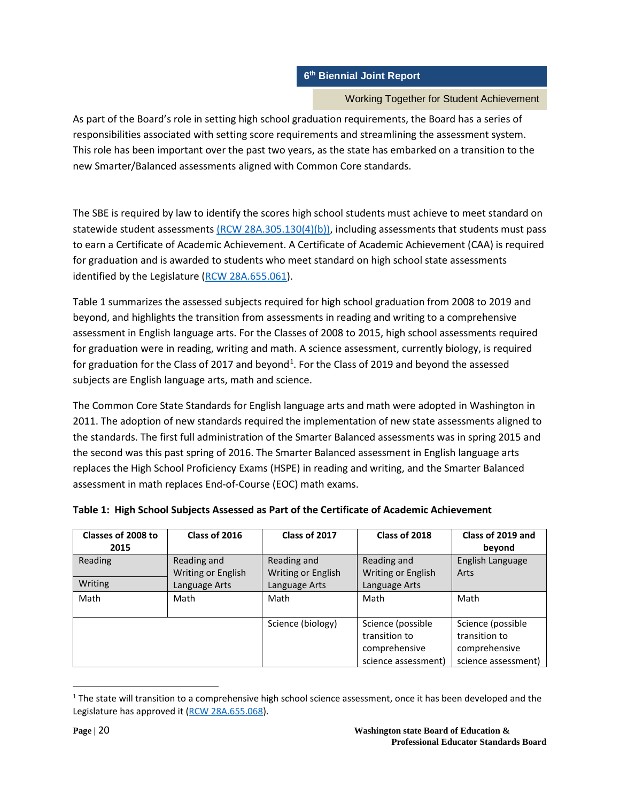### Working Together for Student Achievement

As part of the Board's role in setting high school graduation requirements, the Board has a series of responsibilities associated with setting score requirements and streamlining the assessment system. This role has been important over the past two years, as the state has embarked on a transition to the new Smarter/Balanced assessments aligned with Common Core standards.

The SBE is required by law to identify the scores high school students must achieve to meet standard on statewide student assessments [\(RCW 28A.305.130\(4\)\(b\)\),](http://apps.leg.wa.gov/rcw/default.aspx?cite=28A.305.130) including assessments that students must pass to earn a Certificate of Academic Achievement. A Certificate of Academic Achievement (CAA) is required for graduation and is awarded to students who meet standard on high school state assessments identified by the Legislature [\(RCW 28A.655.061\)](http://apps.leg.wa.gov/rcw/default.aspx?cite=28A.655.061).

Table 1 summarizes the assessed subjects required for high school graduation from 2008 to 2019 and beyond, and highlights the transition from assessments in reading and writing to a comprehensive assessment in English language arts. For the Classes of 2008 to 2015, high school assessments required for graduation were in reading, writing and math. A science assessment, currently biology, is required for graduation for the Class of 20[1](#page-19-0)7 and beyond<sup>1</sup>. For the Class of 2019 and beyond the assessed subjects are English language arts, math and science.

The Common Core State Standards for English language arts and math were adopted in Washington in 2011. The adoption of new standards required the implementation of new state assessments aligned to the standards. The first full administration of the Smarter Balanced assessments was in spring 2015 and the second was this past spring of 2016. The Smarter Balanced assessment in English language arts replaces the High School Proficiency Exams (HSPE) in reading and writing, and the Smarter Balanced assessment in math replaces End-of-Course (EOC) math exams.

| Classes of 2008 to<br>2015 | Class of 2016      | Class of 2017      | Class of 2018       | Class of 2019 and<br>beyond |
|----------------------------|--------------------|--------------------|---------------------|-----------------------------|
| Reading                    | Reading and        | Reading and        | Reading and         | English Language            |
|                            | Writing or English | Writing or English | Writing or English  | Arts                        |
| Writing                    | Language Arts      | Language Arts      | Language Arts       |                             |
| Math                       | Math               | Math               | Math                | Math                        |
|                            |                    | Science (biology)  | Science (possible   | Science (possible           |
|                            |                    |                    | transition to       | transition to               |
|                            |                    |                    | comprehensive       | comprehensive               |
|                            |                    |                    | science assessment) | science assessment)         |

# **Table 1: High School Subjects Assessed as Part of the Certificate of Academic Achievement**

<span id="page-19-0"></span> $1$  The state will transition to a comprehensive high school science assessment, once it has been developed and the Legislature has approved it [\(RCW 28A.655.068\)](http://app.leg.wa.gov/RCW/default.aspx?cite=28A.655.068).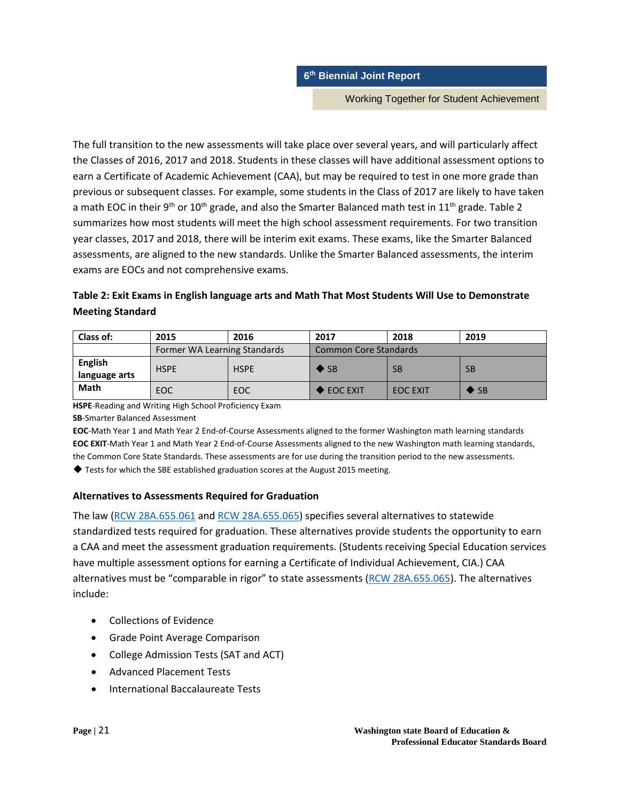Working Together for Student Achievement

The full transition to the new assessments will take place over several years, and will particularly affect the Classes of 2016, 2017 and 2018. Students in these classes will have additional assessment options to earn a Certificate of Academic Achievement (CAA), but may be required to test in one more grade than previous or subsequent classes. For example, some students in the Class of 2017 are likely to have taken a math EOC in their 9<sup>th</sup> or 10<sup>th</sup> grade, and also the Smarter Balanced math test in 11<sup>th</sup> grade. Table 2 summarizes how most students will meet the high school assessment requirements. For two transition year classes, 2017 and 2018, there will be interim exit exams. These exams, like the Smarter Balanced assessments, are aligned to the new standards. Unlike the Smarter Balanced assessments, the interim exams are EOCs and not comprehensive exams.

# **Table 2: Exit Exams in English language arts and Math That Most Students Will Use to Demonstrate Meeting Standard**

| Class of:                | 2015                         | 2016        | 2017                         | 2018            | 2019                     |
|--------------------------|------------------------------|-------------|------------------------------|-----------------|--------------------------|
|                          | Former WA Learning Standards |             | <b>Common Core Standards</b> |                 |                          |
| English<br>language arts | <b>HSPE</b>                  | <b>HSPE</b> | $\blacktriangleright$ SB     | <b>SB</b>       | <b>SB</b>                |
| Math                     | <b>EOC</b>                   | EOC         | EOC EXIT                     | <b>EOC EXIT</b> | $\blacktriangleright$ SB |

**HSPE**-Reading and Writing High School Proficiency Exam

**SB**-Smarter Balanced Assessment

**EOC**-Math Year 1 and Math Year 2 End-of-Course Assessments aligned to the former Washington math learning standards **EOC EXIT**-Math Year 1 and Math Year 2 End-of-Course Assessments aligned to the new Washington math learning standards, the Common Core State Standards. These assessments are for use during the transition period to the new assessments.

◆ Tests for which the SBE established graduation scores at the August 2015 meeting.

### **Alternatives to Assessments Required for Graduation**

The law [\(RCW 28A.655.061](http://apps.leg.wa.gov/rcw/default.aspx?cite=28A.655.061) and [RCW 28A.655.065\)](http://apps.leg.wa.gov/RCW/default.aspx?cite=28A.655.065) specifies several alternatives to statewide standardized tests required for graduation. These alternatives provide students the opportunity to earn a CAA and meet the assessment graduation requirements. (Students receiving Special Education services have multiple assessment options for earning a Certificate of Individual Achievement, CIA.) CAA alternatives must be "comparable in rigor" to state assessments [\(RCW 28A.655.065\)](http://apps.leg.wa.gov/RCW/default.aspx?cite=28A.655.065). The alternatives include:

- Collections of Evidence
- Grade Point Average Comparison
- College Admission Tests (SAT and ACT)
- Advanced Placement Tests
- International Baccalaureate Tests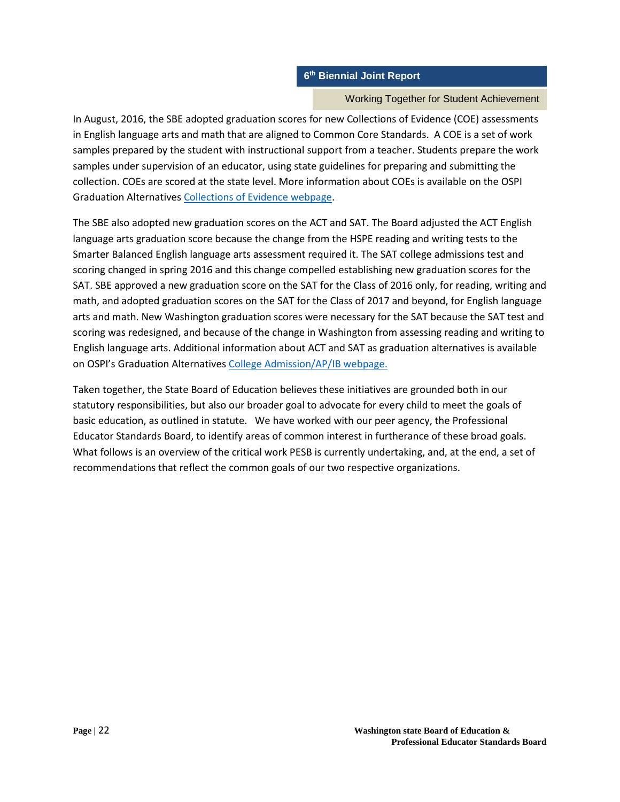### Working Together for Student Achievement

In August, 2016, the SBE adopted graduation scores for new Collections of Evidence (COE) assessments in English language arts and math that are aligned to Common Core Standards. A COE is a set of work samples prepared by the student with instructional support from a teacher. Students prepare the work samples under supervision of an educator, using state guidelines for preparing and submitting the collection. COEs are scored at the state level. More information about COEs is available on the OSPI Graduation Alternative[s Collections of Evidence webpage.](http://www.k12.wa.us/assessment/GraduationAlternatives/CollectionofEvidence.aspx)

The SBE also adopted new graduation scores on the ACT and SAT. The Board adjusted the ACT English language arts graduation score because the change from the HSPE reading and writing tests to the Smarter Balanced English language arts assessment required it. The SAT college admissions test and scoring changed in spring 2016 and this change compelled establishing new graduation scores for the SAT. SBE approved a new graduation score on the SAT for the Class of 2016 only, for reading, writing and math, and adopted graduation scores on the SAT for the Class of 2017 and beyond, for English language arts and math. New Washington graduation scores were necessary for the SAT because the SAT test and scoring was redesigned, and because of the change in Washington from assessing reading and writing to English language arts. Additional information about ACT and SAT as graduation alternatives is available on OSPI's Graduation Alternatives [College Admission/AP/IB webpage.](http://www.k12.wa.us/assessment/GraduationAlternatives/Equivalency.aspx)

Taken together, the State Board of Education believes these initiatives are grounded both in our statutory responsibilities, but also our broader goal to advocate for every child to meet the goals of basic education, as outlined in statute. We have worked with our peer agency, the Professional Educator Standards Board, to identify areas of common interest in furtherance of these broad goals. What follows is an overview of the critical work PESB is currently undertaking, and, at the end, a set of recommendations that reflect the common goals of our two respective organizations.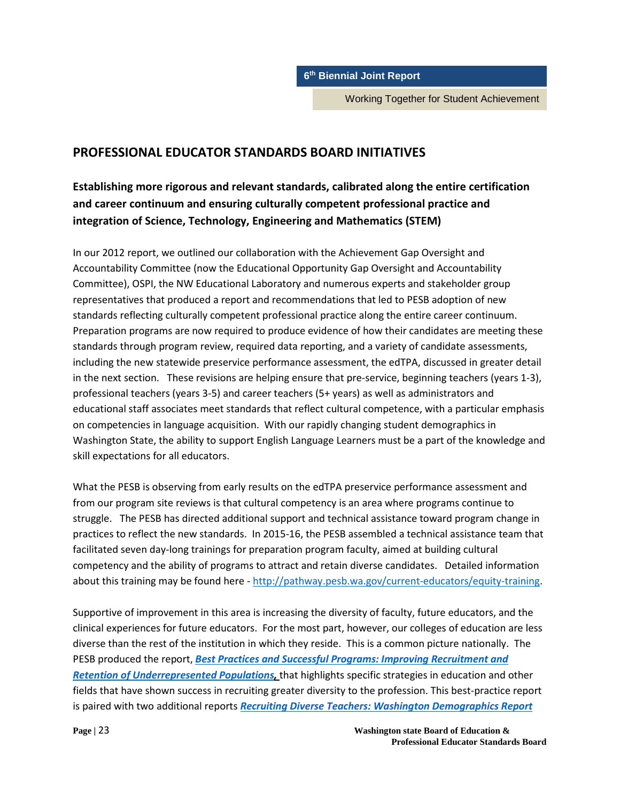Working Together for Student Achievement

# **PROFESSIONAL EDUCATOR STANDARDS BOARD INITIATIVES**

# **Establishing more rigorous and relevant standards, calibrated along the entire certification and career continuum and ensuring culturally competent professional practice and integration of Science, Technology, Engineering and Mathematics (STEM)**

In our 2012 report, we outlined our collaboration with the Achievement Gap Oversight and Accountability Committee (now the Educational Opportunity Gap Oversight and Accountability Committee), OSPI, the NW Educational Laboratory and numerous experts and stakeholder group representatives that produced a report and recommendations that led to PESB adoption of new standards reflecting culturally competent professional practice along the entire career continuum. Preparation programs are now required to produce evidence of how their candidates are meeting these standards through program review, required data reporting, and a variety of candidate assessments, including the new statewide preservice performance assessment, the edTPA, discussed in greater detail in the next section. These revisions are helping ensure that pre-service, beginning teachers (years 1-3), professional teachers (years 3-5) and career teachers (5+ years) as well as administrators and educational staff associates meet standards that reflect cultural competence, with a particular emphasis on competencies in language acquisition. With our rapidly changing student demographics in Washington State, the ability to support English Language Learners must be a part of the knowledge and skill expectations for all educators.

What the PESB is observing from early results on the edTPA preservice performance assessment and from our program site reviews is that cultural competency is an area where programs continue to struggle. The PESB has directed additional support and technical assistance toward program change in practices to reflect the new standards. In 2015-16, the PESB assembled a technical assistance team that facilitated seven day-long trainings for preparation program faculty, aimed at building cultural competency and the ability of programs to attract and retain diverse candidates. Detailed information about this training may be found here - [http://pathway.pesb.wa.gov/current-educators/equity-training.](http://pathway.pesb.wa.gov/current-educators/equity-training)

Supportive of improvement in this area is increasing the diversity of faculty, future educators, and the clinical experiences for future educators. For the most part, however, our colleges of education are less diverse than the rest of the institution in which they reside. This is a common picture nationally. The PESB produced the report, *[Best Practices and Successful Programs: Improving Recruitment and](https://docs.google.com/a/pesb.wa.gov/viewer?a=v&pid=sites&srcid=cGVzYi53YS5nb3Z8ZnV0dXJlLXRlYWNoZXJzfGd4OjI2MGZkZGNlYzk5MzIwOTU)  [Retention of Underrepresented Populations,](https://docs.google.com/a/pesb.wa.gov/viewer?a=v&pid=sites&srcid=cGVzYi53YS5nb3Z8ZnV0dXJlLXRlYWNoZXJzfGd4OjI2MGZkZGNlYzk5MzIwOTU)* that highlights specific strategies in education and other fields that have shown success in recruiting greater diversity to the profession. This best-practice report is paired with two additional reports *[Recruiting Diverse Teachers: Washington Demographics Report](https://docs.google.com/a/pesb.wa.gov/viewer?a=v&pid=sites&srcid=cGVzYi53YS5nb3Z8ZnV0dXJlLXRlYWNoZXJzfGd4OjZkYjBjOWZiODllZWExNGE)*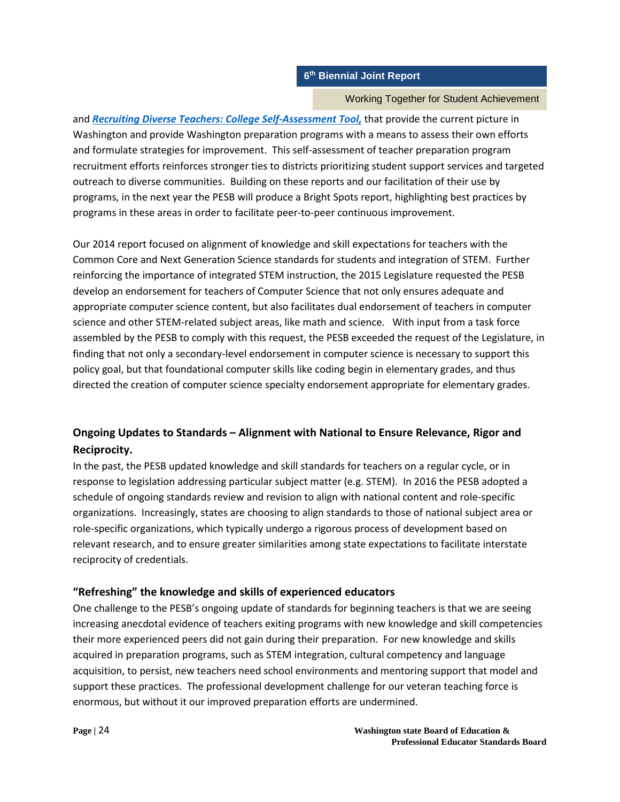### Working Together for Student Achievement

and *[Recruiting Diverse Teachers: College Self-Assessment Tool,](https://docs.google.com/a/pesb.wa.gov/viewer?a=v&pid=sites&srcid=cGVzYi53YS5nb3Z8ZnV0dXJlLXRlYWNoZXJzfGd4OjIyZjAyZTQ1NjA1YzdlOTk)* that provide the current picture in Washington and provide Washington preparation programs with a means to assess their own efforts and formulate strategies for improvement. This self-assessment of teacher preparation program recruitment efforts reinforces stronger ties to districts prioritizing student support services and targeted outreach to diverse communities. Building on these reports and our facilitation of their use by programs, in the next year the PESB will produce a Bright Spots report, highlighting best practices by programs in these areas in order to facilitate peer-to-peer continuous improvement.

Our 2014 report focused on alignment of knowledge and skill expectations for teachers with the Common Core and Next Generation Science standards for students and integration of STEM. Further reinforcing the importance of integrated STEM instruction, the 2015 Legislature requested the PESB develop an endorsement for teachers of Computer Science that not only ensures adequate and appropriate computer science content, but also facilitates dual endorsement of teachers in computer science and other STEM-related subject areas, like math and science. With input from a task force assembled by the PESB to comply with this request, the PESB exceeded the request of the Legislature, in finding that not only a secondary-level endorsement in computer science is necessary to support this policy goal, but that foundational computer skills like coding begin in elementary grades, and thus directed the creation of computer science specialty endorsement appropriate for elementary grades.

# **Ongoing Updates to Standards – Alignment with National to Ensure Relevance, Rigor and Reciprocity.**

In the past, the PESB updated knowledge and skill standards for teachers on a regular cycle, or in response to legislation addressing particular subject matter (e.g. STEM). In 2016 the PESB adopted a schedule of ongoing standards review and revision to align with national content and role-specific organizations. Increasingly, states are choosing to align standards to those of national subject area or role-specific organizations, which typically undergo a rigorous process of development based on relevant research, and to ensure greater similarities among state expectations to facilitate interstate reciprocity of credentials.

# **"Refreshing" the knowledge and skills of experienced educators**

One challenge to the PESB's ongoing update of standards for beginning teachers is that we are seeing increasing anecdotal evidence of teachers exiting programs with new knowledge and skill competencies their more experienced peers did not gain during their preparation. For new knowledge and skills acquired in preparation programs, such as STEM integration, cultural competency and language acquisition, to persist, new teachers need school environments and mentoring support that model and support these practices. The professional development challenge for our veteran teaching force is enormous, but without it our improved preparation efforts are undermined.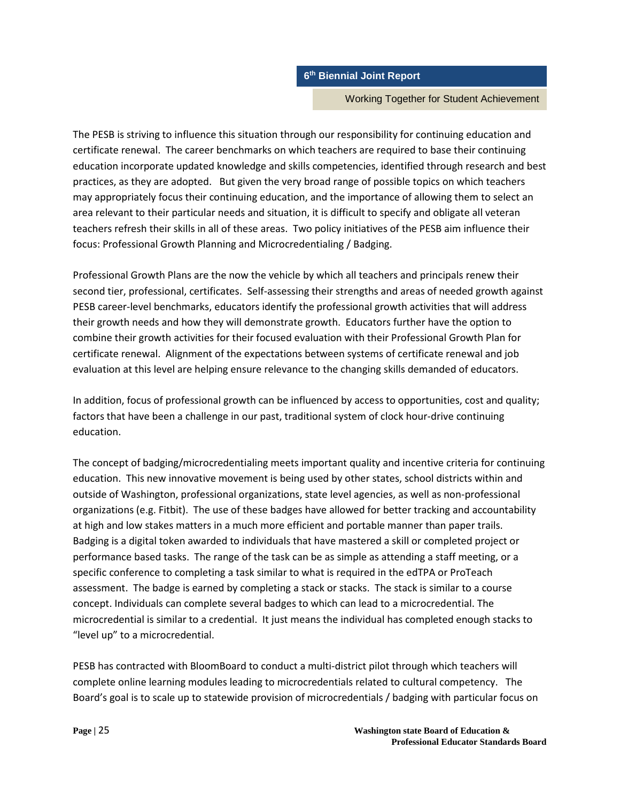#### Working Together for Student Achievement

The PESB is striving to influence this situation through our responsibility for continuing education and certificate renewal. The career benchmarks on which teachers are required to base their continuing education incorporate updated knowledge and skills competencies, identified through research and best practices, as they are adopted. But given the very broad range of possible topics on which teachers may appropriately focus their continuing education, and the importance of allowing them to select an area relevant to their particular needs and situation, it is difficult to specify and obligate all veteran teachers refresh their skills in all of these areas. Two policy initiatives of the PESB aim influence their focus: Professional Growth Planning and Microcredentialing / Badging.

Professional Growth Plans are the now the vehicle by which all teachers and principals renew their second tier, professional, certificates. Self-assessing their strengths and areas of needed growth against PESB career-level benchmarks, educators identify the professional growth activities that will address their growth needs and how they will demonstrate growth. Educators further have the option to combine their growth activities for their focused evaluation with their Professional Growth Plan for certificate renewal. Alignment of the expectations between systems of certificate renewal and job evaluation at this level are helping ensure relevance to the changing skills demanded of educators.

In addition, focus of professional growth can be influenced by access to opportunities, cost and quality; factors that have been a challenge in our past, traditional system of clock hour-drive continuing education.

The concept of badging/microcredentialing meets important quality and incentive criteria for continuing education. This new innovative movement is being used by other states, school districts within and outside of Washington, professional organizations, state level agencies, as well as non-professional organizations (e.g. Fitbit). The use of these badges have allowed for better tracking and accountability at high and low stakes matters in a much more efficient and portable manner than paper trails. Badging is a digital token awarded to individuals that have mastered a skill or completed project or performance based tasks. The range of the task can be as simple as attending a staff meeting, or a specific conference to completing a task similar to what is required in the edTPA or ProTeach assessment. The badge is earned by completing a stack or stacks. The stack is similar to a course concept. Individuals can complete several badges to which can lead to a microcredential. The microcredential is similar to a credential. It just means the individual has completed enough stacks to "level up" to a microcredential.

PESB has contracted with BloomBoard to conduct a multi-district pilot through which teachers will complete online learning modules leading to microcredentials related to cultural competency. The Board's goal is to scale up to statewide provision of microcredentials / badging with particular focus on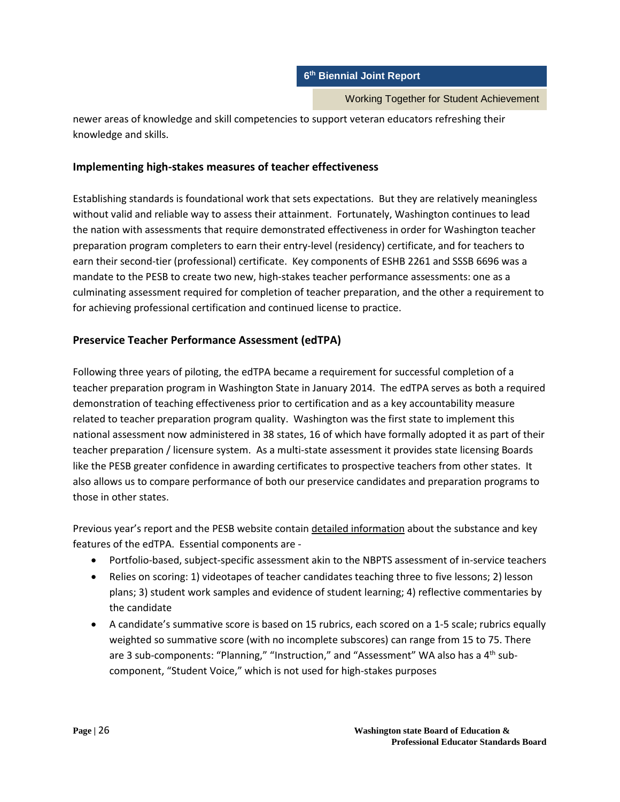Working Together for Student Achievement

newer areas of knowledge and skill competencies to support veteran educators refreshing their knowledge and skills.

# **Implementing high-stakes measures of teacher effectiveness**

Establishing standards is foundational work that sets expectations. But they are relatively meaningless without valid and reliable way to assess their attainment. Fortunately, Washington continues to lead the nation with assessments that require demonstrated effectiveness in order for Washington teacher preparation program completers to earn their entry-level (residency) certificate, and for teachers to earn their second-tier (professional) certificate. Key components of ESHB 2261 and SSSB 6696 was a mandate to the PESB to create two new, high-stakes teacher performance assessments: one as a culminating assessment required for completion of teacher preparation, and the other a requirement to for achieving professional certification and continued license to practice.

# **Preservice Teacher Performance Assessment (edTPA)**

Following three years of piloting, the edTPA became a requirement for successful completion of a teacher preparation program in Washington State in January 2014. The edTPA serves as both a required demonstration of teaching effectiveness prior to certification and as a key accountability measure related to teacher preparation program quality. Washington was the first state to implement this national assessment now administered in 38 states, 16 of which have formally adopted it as part of their teacher preparation / licensure system. As a multi-state assessment it provides state licensing Boards like the PESB greater confidence in awarding certificates to prospective teachers from other states. It also allows us to compare performance of both our preservice candidates and preparation programs to those in other states.

Previous year's report and the PESB website contain detailed information about the substance and key features of the edTPA. Essential components are -

- Portfolio-based, subject-specific assessment akin to the NBPTS assessment of in-service teachers
- Relies on scoring: 1) videotapes of teacher candidates teaching three to five lessons; 2) lesson plans; 3) student work samples and evidence of student learning; 4) reflective commentaries by the candidate
- A candidate's summative score is based on 15 rubrics, each scored on a 1-5 scale; rubrics equally weighted so summative score (with no incomplete subscores) can range from 15 to 75. There are 3 sub-components: "Planning," "Instruction," and "Assessment" WA also has a  $4<sup>th</sup>$  subcomponent, "Student Voice," which is not used for high-stakes purposes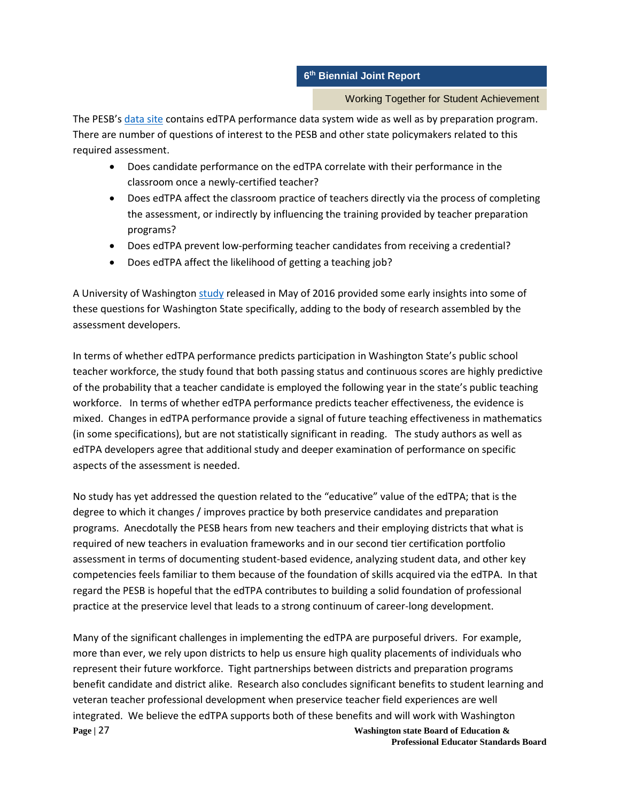Working Together for Student Achievement

The PESB'[s data site](http://data.pesb.wa.gov/knowledge/edtpa) contains edTPA performance data system wide as well as by preparation program. There are number of questions of interest to the PESB and other state policymakers related to this required assessment.

- Does candidate performance on the edTPA correlate with their performance in the classroom once a newly-certified teacher?
- Does edTPA affect the classroom practice of teachers directly via the process of completing the assessment, or indirectly by influencing the training provided by teacher preparation programs?
- Does edTPA prevent low-performing teacher candidates from receiving a credential?
- Does edTPA affect the likelihood of getting a teaching job?

A University of Washingto[n study](http://www.caldercenter.org/publications/evaluating-prospective-teachers-testing-predictive-validity-edtpa) released in May of 2016 provided some early insights into some of these questions for Washington State specifically, adding to the body of research assembled by the assessment developers.

In terms of whether edTPA performance predicts participation in Washington State's public school teacher workforce, the study found that both passing status and continuous scores are highly predictive of the probability that a teacher candidate is employed the following year in the state's public teaching workforce. In terms of whether edTPA performance predicts teacher effectiveness, the evidence is mixed. Changes in edTPA performance provide a signal of future teaching effectiveness in mathematics (in some specifications), but are not statistically significant in reading. The study authors as well as edTPA developers agree that additional study and deeper examination of performance on specific aspects of the assessment is needed.

No study has yet addressed the question related to the "educative" value of the edTPA; that is the degree to which it changes / improves practice by both preservice candidates and preparation programs. Anecdotally the PESB hears from new teachers and their employing districts that what is required of new teachers in evaluation frameworks and in our second tier certification portfolio assessment in terms of documenting student-based evidence, analyzing student data, and other key competencies feels familiar to them because of the foundation of skills acquired via the edTPA. In that regard the PESB is hopeful that the edTPA contributes to building a solid foundation of professional practice at the preservice level that leads to a strong continuum of career-long development.

**Page |** 27 **Washington state Board of Education &** Many of the significant challenges in implementing the edTPA are purposeful drivers. For example, more than ever, we rely upon districts to help us ensure high quality placements of individuals who represent their future workforce. Tight partnerships between districts and preparation programs benefit candidate and district alike. Research also concludes significant benefits to student learning and veteran teacher professional development when preservice teacher field experiences are well integrated. We believe the edTPA supports both of these benefits and will work with Washington

**Professional Educator Standards Board**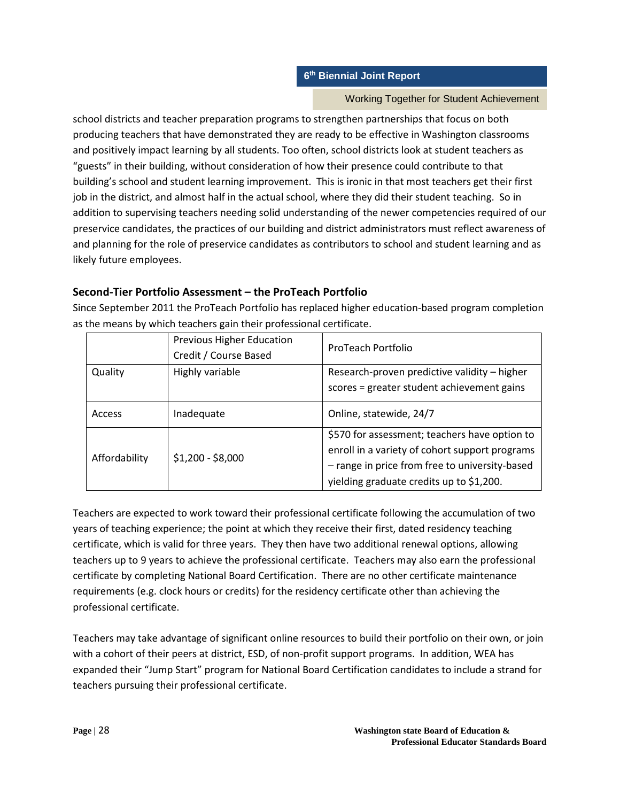### Working Together for Student Achievement

school districts and teacher preparation programs to strengthen partnerships that focus on both producing teachers that have demonstrated they are ready to be effective in Washington classrooms and positively impact learning by all students. Too often, school districts look at student teachers as "guests" in their building, without consideration of how their presence could contribute to that building's school and student learning improvement. This is ironic in that most teachers get their first job in the district, and almost half in the actual school, where they did their student teaching. So in addition to supervising teachers needing solid understanding of the newer competencies required of our preservice candidates, the practices of our building and district administrators must reflect awareness of and planning for the role of preservice candidates as contributors to school and student learning and as likely future employees.

# **Second-Tier Portfolio Assessment – the ProTeach Portfolio**

Since September 2011 the ProTeach Portfolio has replaced higher education-based program completion as the means by which teachers gain their professional certificate.

|               | Previous Higher Education<br>Credit / Course Based | ProTeach Portfolio                                                                                                                                                                            |
|---------------|----------------------------------------------------|-----------------------------------------------------------------------------------------------------------------------------------------------------------------------------------------------|
| Quality       | Highly variable                                    | Research-proven predictive validity - higher<br>scores = greater student achievement gains                                                                                                    |
| Access        | Inadequate                                         | Online, statewide, 24/7                                                                                                                                                                       |
| Affordability | $$1,200 - $8,000$                                  | \$570 for assessment; teachers have option to<br>enroll in a variety of cohort support programs<br>- range in price from free to university-based<br>yielding graduate credits up to \$1,200. |

Teachers are expected to work toward their professional certificate following the accumulation of two years of teaching experience; the point at which they receive their first, dated residency teaching certificate, which is valid for three years. They then have two additional renewal options, allowing teachers up to 9 years to achieve the professional certificate. Teachers may also earn the professional certificate by completing National Board Certification. There are no other certificate maintenance requirements (e.g. clock hours or credits) for the residency certificate other than achieving the professional certificate.

Teachers may take advantage of significant online resources to build their portfolio on their own, or join with a cohort of their peers at district, ESD, of non-profit support programs. In addition, WEA has expanded their "Jump Start" program for National Board Certification candidates to include a strand for teachers pursuing their professional certificate.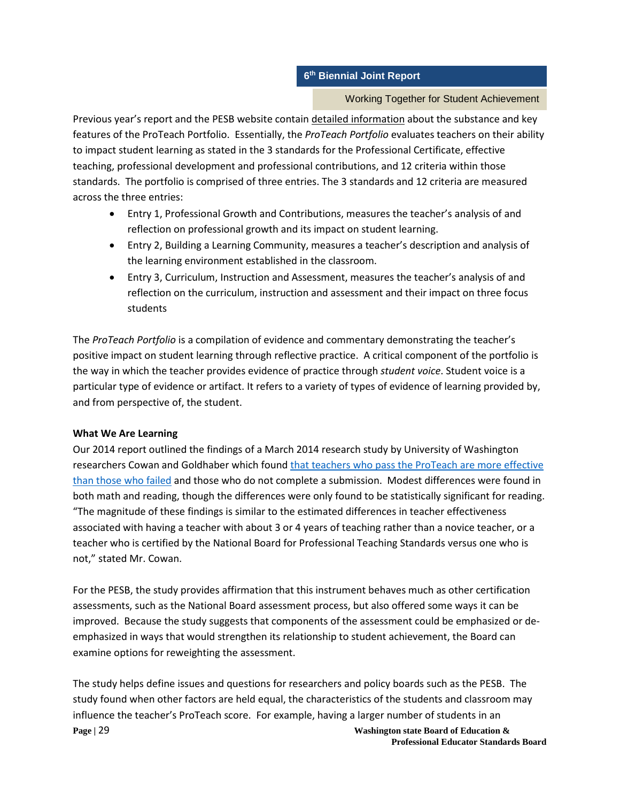### Working Together for Student Achievement

Previous year's report and the PESB website contain detailed information about the substance and key features of the ProTeach Portfolio. Essentially, the *ProTeach Portfolio* evaluates teachers on their ability to impact student learning as stated in the 3 standards for the Professional Certificate, effective teaching, professional development and professional contributions, and 12 criteria within those standards. The portfolio is comprised of three entries. The 3 standards and 12 criteria are measured across the three entries:

- Entry 1, Professional Growth and Contributions, measures the teacher's analysis of and reflection on professional growth and its impact on student learning.
- Entry 2, Building a Learning Community, measures a teacher's description and analysis of the learning environment established in the classroom.
- Entry 3, Curriculum, Instruction and Assessment, measures the teacher's analysis of and reflection on the curriculum, instruction and assessment and their impact on three focus students

The *ProTeach Portfolio* is a compilation of evidence and commentary demonstrating the teacher's positive impact on student learning through reflective practice. A critical component of the portfolio is the way in which the teacher provides evidence of practice through *student voice*. Student voice is a particular type of evidence or artifact. It refers to a variety of types of evidence of learning provided by, and from perspective of, the student.

### **What We Are Learning**

Our 2014 report outlined the findings of a March 2014 research study by University of Washington researchers Cowan and Goldhaber which found [that teachers who pass the ProTeach are more effective](https://docs.google.com/a/pesb.wa.gov/file/d/0Bywqsyhf5L8rZUtRZHpfNmpLYkU/edit)  [than those who failed](https://docs.google.com/a/pesb.wa.gov/file/d/0Bywqsyhf5L8rZUtRZHpfNmpLYkU/edit) and those who do not complete a submission. Modest differences were found in both math and reading, though the differences were only found to be statistically significant for reading. "The magnitude of these findings is similar to the estimated differences in teacher effectiveness associated with having a teacher with about 3 or 4 years of teaching rather than a novice teacher, or a teacher who is certified by the National Board for Professional Teaching Standards versus one who is not," stated Mr. Cowan.

For the PESB, the study provides affirmation that this instrument behaves much as other certification assessments, such as the National Board assessment process, but also offered some ways it can be improved. Because the study suggests that components of the assessment could be emphasized or deemphasized in ways that would strengthen its relationship to student achievement, the Board can examine options for reweighting the assessment.

**Page |** 29 **Washington state Board of Education &** The study helps define issues and questions for researchers and policy boards such as the PESB. The study found when other factors are held equal, the characteristics of the students and classroom may influence the teacher's ProTeach score. For example, having a larger number of students in an

**Professional Educator Standards Board**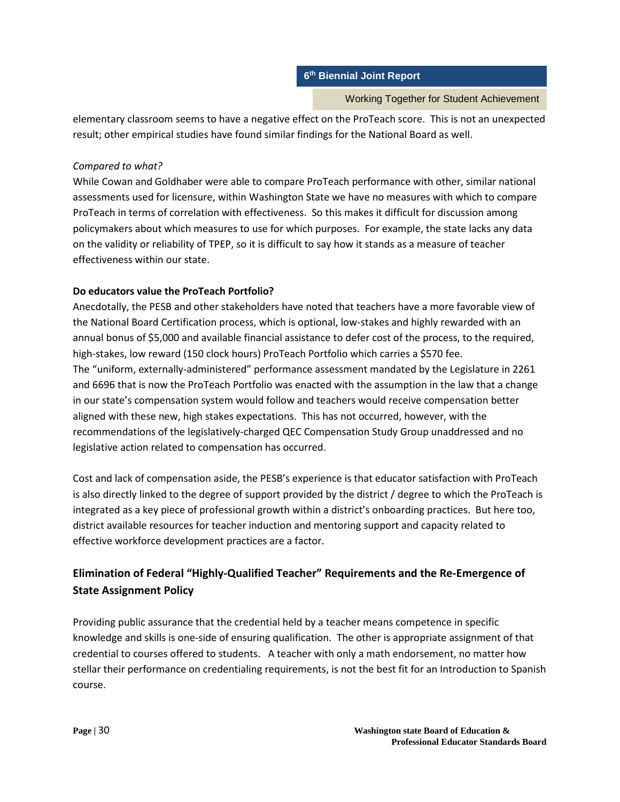Working Together for Student Achievement

elementary classroom seems to have a negative effect on the ProTeach score. This is not an unexpected result; other empirical studies have found similar findings for the National Board as well.

# *Compared to what?*

While Cowan and Goldhaber were able to compare ProTeach performance with other, similar national assessments used for licensure, within Washington State we have no measures with which to compare ProTeach in terms of correlation with effectiveness. So this makes it difficult for discussion among policymakers about which measures to use for which purposes. For example, the state lacks any data on the validity or reliability of TPEP, so it is difficult to say how it stands as a measure of teacher effectiveness within our state.

# **Do educators value the ProTeach Portfolio?**

Anecdotally, the PESB and other stakeholders have noted that teachers have a more favorable view of the National Board Certification process, which is optional, low-stakes and highly rewarded with an annual bonus of \$5,000 and available financial assistance to defer cost of the process, to the required, high-stakes, low reward (150 clock hours) ProTeach Portfolio which carries a \$570 fee. The "uniform, externally-administered" performance assessment mandated by the Legislature in 2261 and 6696 that is now the ProTeach Portfolio was enacted with the assumption in the law that a change in our state's compensation system would follow and teachers would receive compensation better aligned with these new, high stakes expectations. This has not occurred, however, with the recommendations of the legislatively-charged QEC Compensation Study Group unaddressed and no legislative action related to compensation has occurred.

Cost and lack of compensation aside, the PESB's experience is that educator satisfaction with ProTeach is also directly linked to the degree of support provided by the district / degree to which the ProTeach is integrated as a key piece of professional growth within a district's onboarding practices. But here too, district available resources for teacher induction and mentoring support and capacity related to effective workforce development practices are a factor.

# **Elimination of Federal "Highly-Qualified Teacher" Requirements and the Re-Emergence of State Assignment Policy**

Providing public assurance that the credential held by a teacher means competence in specific knowledge and skills is one-side of ensuring qualification. The other is appropriate assignment of that credential to courses offered to students. A teacher with only a math endorsement, no matter how stellar their performance on credentialing requirements, is not the best fit for an Introduction to Spanish course.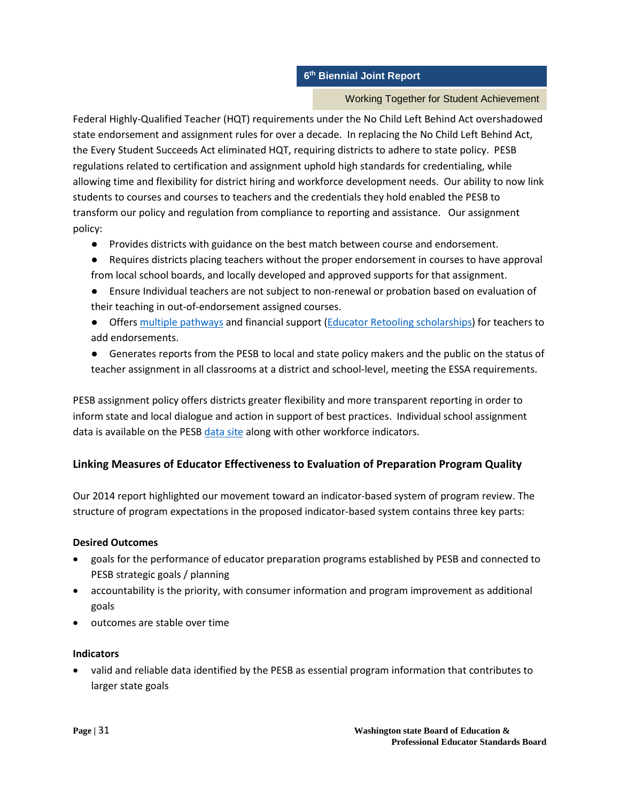### Working Together for Student Achievement

Federal Highly-Qualified Teacher (HQT) requirements under the No Child Left Behind Act overshadowed state endorsement and assignment rules for over a decade. In replacing the No Child Left Behind Act, the Every Student Succeeds Act eliminated HQT, requiring districts to adhere to state policy. PESB regulations related to certification and assignment uphold high standards for credentialing, while allowing time and flexibility for district hiring and workforce development needs. Our ability to now link students to courses and courses to teachers and the credentials they hold enabled the PESB to transform our policy and regulation from compliance to reporting and assistance. Our assignment policy:

- Provides districts with guidance on the best match between course and endorsement.
- Requires districts placing teachers without the proper endorsement in courses to have approval from local school boards, and locally developed and approved supports for that assignment.
- Ensure Individual teachers are not subject to non-renewal or probation based on evaluation of their teaching in out-of-endorsement assigned courses.
- Offers [multiple pathways](http://k12.wa.us/certification/Teacher/Endorsement.aspx) and financial support [\(Educator Retooling scholarships\)](http://pathway.pesb.wa.gov/current-educators/educator-retooling) for teachers to add endorsements.
- Generates reports from the PESB to local and state policy makers and the public on the status of teacher assignment in all classrooms at a district and school-level, meeting the ESSA requirements.

PESB assignment policy offers districts greater flexibility and more transparent reporting in order to inform state and local dialogue and action in support of best practices. Individual school assignment data is available on the PESB [data site](http://data.pesb.wa.gov/) along with other workforce indicators.

# **Linking Measures of Educator Effectiveness to Evaluation of Preparation Program Quality**

Our 2014 report highlighted our movement toward an indicator-based system of program review. The structure of program expectations in the proposed indicator-based system contains three key parts:

# **Desired Outcomes**

- goals for the performance of educator preparation programs established by PESB and connected to PESB strategic goals / planning
- accountability is the priority, with consumer information and program improvement as additional goals
- outcomes are stable over time

# **Indicators**

• valid and reliable data identified by the PESB as essential program information that contributes to larger state goals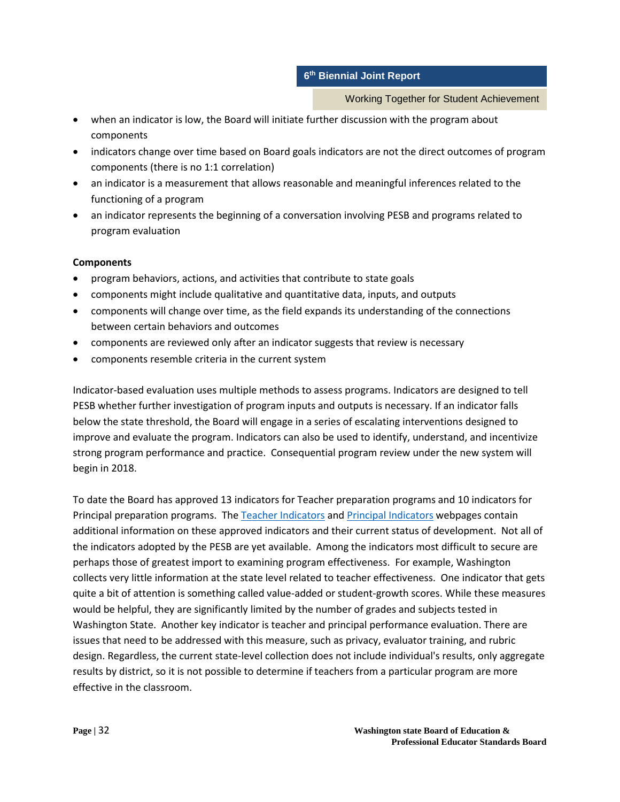Working Together for Student Achievement

- when an indicator is low, the Board will initiate further discussion with the program about components
- indicators change over time based on Board goals indicators are not the direct outcomes of program components (there is no 1:1 correlation)
- an indicator is a measurement that allows reasonable and meaningful inferences related to the functioning of a program
- an indicator represents the beginning of a conversation involving PESB and programs related to program evaluation

# **Components**

- program behaviors, actions, and activities that contribute to state goals
- components might include qualitative and quantitative data, inputs, and outputs
- components will change over time, as the field expands its understanding of the connections between certain behaviors and outcomes
- components are reviewed only after an indicator suggests that review is necessary
- components resemble criteria in the current system

Indicator-based evaluation uses multiple methods to assess programs. Indicators are designed to tell PESB whether further investigation of program inputs and outputs is necessary. If an indicator falls below the state threshold, the Board will engage in a series of escalating interventions designed to improve and evaluate the program. Indicators can also be used to identify, understand, and incentivize strong program performance and practice. Consequential program review under the new system will begin in 2018.

To date the Board has approved 13 indicators for Teacher preparation programs and 10 indicators for Principal preparation programs. The [Teacher Indicators](http://program.pesb.wa.gov/indicator/teacher-indicators) an[d Principal Indicators](http://program.pesb.wa.gov/indicator/principal-indicators) webpages contain additional information on these approved indicators and their current status of development. Not all of the indicators adopted by the PESB are yet available. Among the indicators most difficult to secure are perhaps those of greatest import to examining program effectiveness. For example, Washington collects very little information at the state level related to teacher effectiveness. One indicator that gets quite a bit of attention is something called value-added or student-growth scores. While these measures would be helpful, they are significantly limited by the number of grades and subjects tested in Washington State. Another key indicator is teacher and principal performance evaluation. There are issues that need to be addressed with this measure, such as privacy, evaluator training, and rubric design. Regardless, the current state-level collection does not include individual's results, only aggregate results by district, so it is not possible to determine if teachers from a particular program are more effective in the classroom.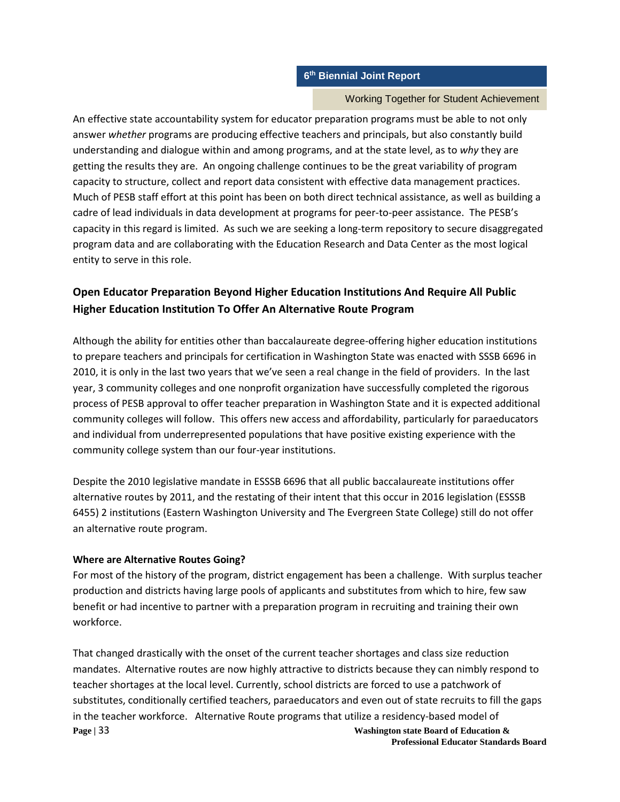#### Working Together for Student Achievement

An effective state accountability system for educator preparation programs must be able to not only answer *whether* programs are producing effective teachers and principals, but also constantly build understanding and dialogue within and among programs, and at the state level, as to *why* they are getting the results they are. An ongoing challenge continues to be the great variability of program capacity to structure, collect and report data consistent with effective data management practices. Much of PESB staff effort at this point has been on both direct technical assistance, as well as building a cadre of lead individuals in data development at programs for peer-to-peer assistance. The PESB's capacity in this regard is limited. As such we are seeking a long-term repository to secure disaggregated program data and are collaborating with the Education Research and Data Center as the most logical entity to serve in this role.

# **Open Educator Preparation Beyond Higher Education Institutions And Require All Public Higher Education Institution To Offer An Alternative Route Program**

Although the ability for entities other than baccalaureate degree-offering higher education institutions to prepare teachers and principals for certification in Washington State was enacted with SSSB 6696 in 2010, it is only in the last two years that we've seen a real change in the field of providers. In the last year, 3 community colleges and one nonprofit organization have successfully completed the rigorous process of PESB approval to offer teacher preparation in Washington State and it is expected additional community colleges will follow. This offers new access and affordability, particularly for paraeducators and individual from underrepresented populations that have positive existing experience with the community college system than our four-year institutions.

Despite the 2010 legislative mandate in ESSSB 6696 that all public baccalaureate institutions offer alternative routes by 2011, and the restating of their intent that this occur in 2016 legislation (ESSSB 6455) 2 institutions (Eastern Washington University and The Evergreen State College) still do not offer an alternative route program.

### **Where are Alternative Routes Going?**

For most of the history of the program, district engagement has been a challenge. With surplus teacher production and districts having large pools of applicants and substitutes from which to hire, few saw benefit or had incentive to partner with a preparation program in recruiting and training their own workforce.

**Page |** 33 **Washington state Board of Education &** That changed drastically with the onset of the current teacher shortages and class size reduction mandates. Alternative routes are now highly attractive to districts because they can nimbly respond to teacher shortages at the local level. Currently, school districts are forced to use a patchwork of substitutes, conditionally certified teachers, paraeducators and even out of state recruits to fill the gaps in the teacher workforce. Alternative Route programs that utilize a residency-based model of

**Professional Educator Standards Board**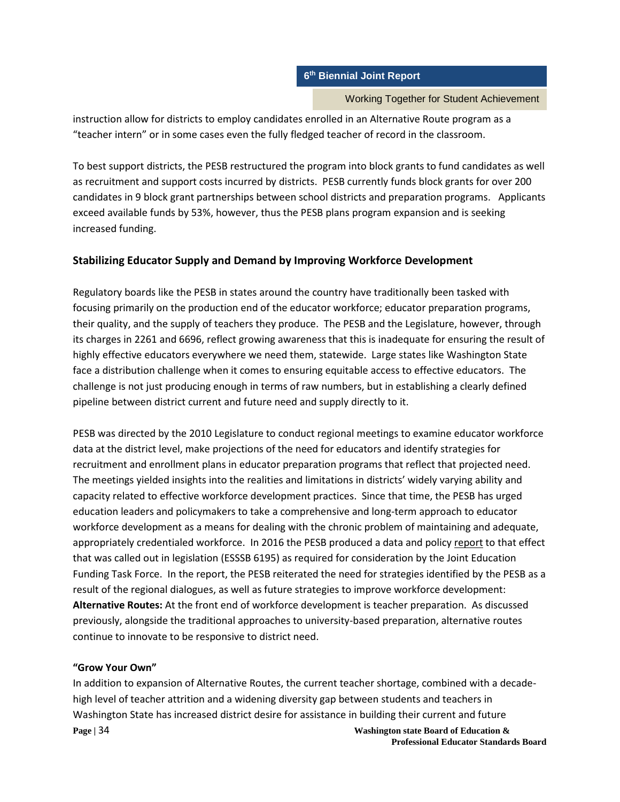Working Together for Student Achievement

instruction allow for districts to employ candidates enrolled in an Alternative Route program as a "teacher intern" or in some cases even the fully fledged teacher of record in the classroom.

To best support districts, the PESB restructured the program into block grants to fund candidates as well as recruitment and support costs incurred by districts. PESB currently funds block grants for over 200 candidates in 9 block grant partnerships between school districts and preparation programs. Applicants exceed available funds by 53%, however, thus the PESB plans program expansion and is seeking increased funding.

# **Stabilizing Educator Supply and Demand by Improving Workforce Development**

Regulatory boards like the PESB in states around the country have traditionally been tasked with focusing primarily on the production end of the educator workforce; educator preparation programs, their quality, and the supply of teachers they produce. The PESB and the Legislature, however, through its charges in 2261 and 6696, reflect growing awareness that this is inadequate for ensuring the result of highly effective educators everywhere we need them, statewide. Large states like Washington State face a distribution challenge when it comes to ensuring equitable access to effective educators. The challenge is not just producing enough in terms of raw numbers, but in establishing a clearly defined pipeline between district current and future need and supply directly to it.

PESB was directed by the 2010 Legislature to conduct regional meetings to examine educator workforce data at the district level, make projections of the need for educators and identify strategies for recruitment and enrollment plans in educator preparation programs that reflect that projected need. The meetings yielded insights into the realities and limitations in districts' widely varying ability and capacity related to effective workforce development practices. Since that time, the PESB has urged education leaders and policymakers to take a comprehensive and long-term approach to educator workforce development as a means for dealing with the chronic problem of maintaining and adequate, appropriately credentialed workforce. In 2016 the PESB produced a data and policy report to that effect that was called out in legislation (ESSSB 6195) as required for consideration by the Joint Education Funding Task Force. In the report, the PESB reiterated the need for strategies identified by the PESB as a result of the regional dialogues, as well as future strategies to improve workforce development: **Alternative Routes:** At the front end of workforce development is teacher preparation. As discussed previously, alongside the traditional approaches to university-based preparation, alternative routes continue to innovate to be responsive to district need.

# **"Grow Your Own"**

**Page | 34** Washington state Board of Education & In addition to expansion of Alternative Routes, the current teacher shortage, combined with a decadehigh level of teacher attrition and a widening diversity gap between students and teachers in Washington State has increased district desire for assistance in building their current and future

**Professional Educator Standards Board**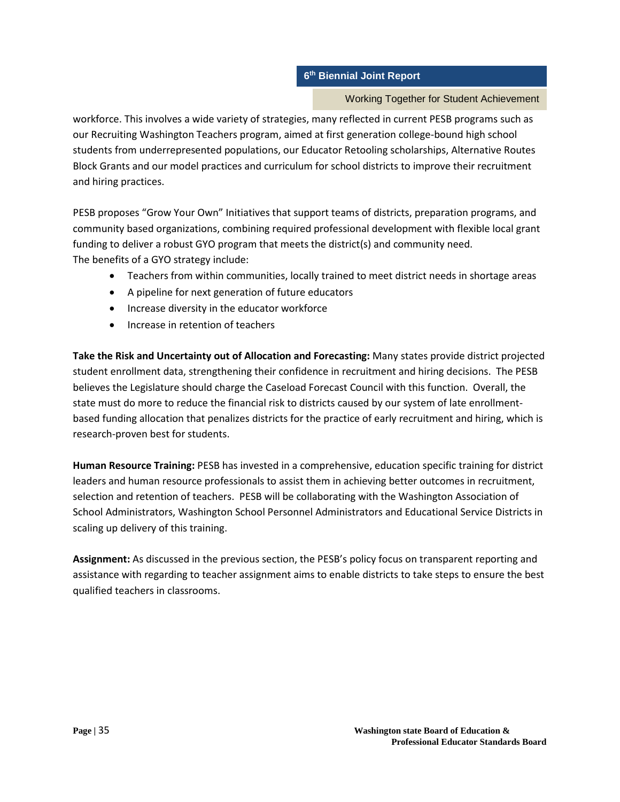### Working Together for Student Achievement

workforce. This involves a wide variety of strategies, many reflected in current PESB programs such as our Recruiting Washington Teachers program, aimed at first generation college-bound high school students from underrepresented populations, our Educator Retooling scholarships, Alternative Routes Block Grants and our model practices and curriculum for school districts to improve their recruitment and hiring practices.

PESB proposes "Grow Your Own" Initiatives that support teams of districts, preparation programs, and community based organizations, combining required professional development with flexible local grant funding to deliver a robust GYO program that meets the district(s) and community need. The benefits of a GYO strategy include:

- Teachers from within communities, locally trained to meet district needs in shortage areas
- A pipeline for next generation of future educators
- Increase diversity in the educator workforce
- Increase in retention of teachers

**Take the Risk and Uncertainty out of Allocation and Forecasting:** Many states provide district projected student enrollment data, strengthening their confidence in recruitment and hiring decisions. The PESB believes the Legislature should charge the Caseload Forecast Council with this function. Overall, the state must do more to reduce the financial risk to districts caused by our system of late enrollmentbased funding allocation that penalizes districts for the practice of early recruitment and hiring, which is research-proven best for students.

**Human Resource Training:** PESB has invested in a comprehensive, education specific training for district leaders and human resource professionals to assist them in achieving better outcomes in recruitment, selection and retention of teachers. PESB will be collaborating with the Washington Association of School Administrators, Washington School Personnel Administrators and Educational Service Districts in scaling up delivery of this training.

**Assignment:** As discussed in the previous section, the PESB's policy focus on transparent reporting and assistance with regarding to teacher assignment aims to enable districts to take steps to ensure the best qualified teachers in classrooms.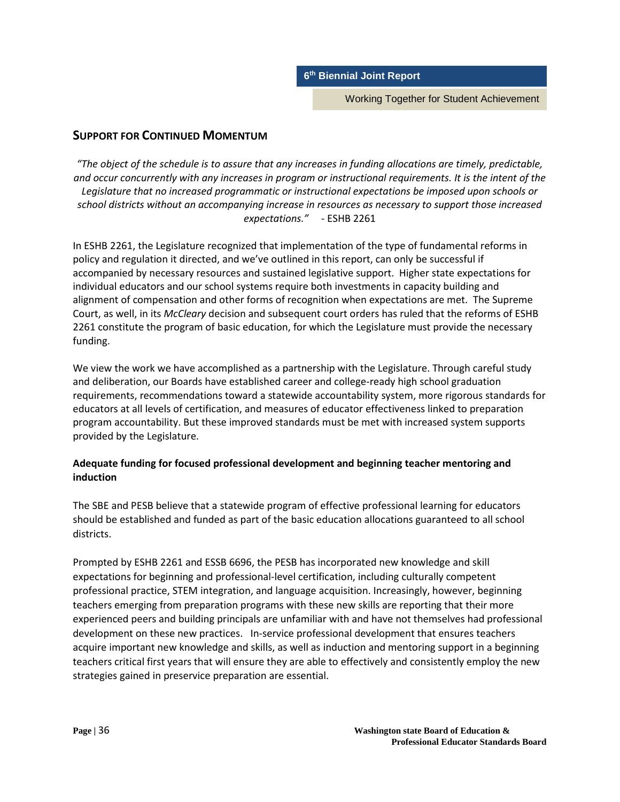Working Together for Student Achievement

# **SUPPORT FOR CONTINUED MOMENTUM**

*"The object of the schedule is to assure that any increases in funding allocations are timely, predictable, and occur concurrently with any increases in program or instructional requirements. It is the intent of the Legislature that no increased programmatic or instructional expectations be imposed upon schools or school districts without an accompanying increase in resources as necessary to support those increased expectations."* - ESHB 2261

In ESHB 2261, the Legislature recognized that implementation of the type of fundamental reforms in policy and regulation it directed, and we've outlined in this report, can only be successful if accompanied by necessary resources and sustained legislative support. Higher state expectations for individual educators and our school systems require both investments in capacity building and alignment of compensation and other forms of recognition when expectations are met. The Supreme Court, as well, in its *McCleary* decision and subsequent court orders has ruled that the reforms of ESHB 2261 constitute the program of basic education, for which the Legislature must provide the necessary funding.

We view the work we have accomplished as a partnership with the Legislature. Through careful study and deliberation, our Boards have established career and college-ready high school graduation requirements, recommendations toward a statewide accountability system, more rigorous standards for educators at all levels of certification, and measures of educator effectiveness linked to preparation program accountability. But these improved standards must be met with increased system supports provided by the Legislature.

# **Adequate funding for focused professional development and beginning teacher mentoring and induction**

The SBE and PESB believe that a statewide program of effective professional learning for educators should be established and funded as part of the basic education allocations guaranteed to all school districts.

Prompted by ESHB 2261 and ESSB 6696, the PESB has incorporated new knowledge and skill expectations for beginning and professional-level certification, including culturally competent professional practice, STEM integration, and language acquisition. Increasingly, however, beginning teachers emerging from preparation programs with these new skills are reporting that their more experienced peers and building principals are unfamiliar with and have not themselves had professional development on these new practices. In-service professional development that ensures teachers acquire important new knowledge and skills, as well as induction and mentoring support in a beginning teachers critical first years that will ensure they are able to effectively and consistently employ the new strategies gained in preservice preparation are essential.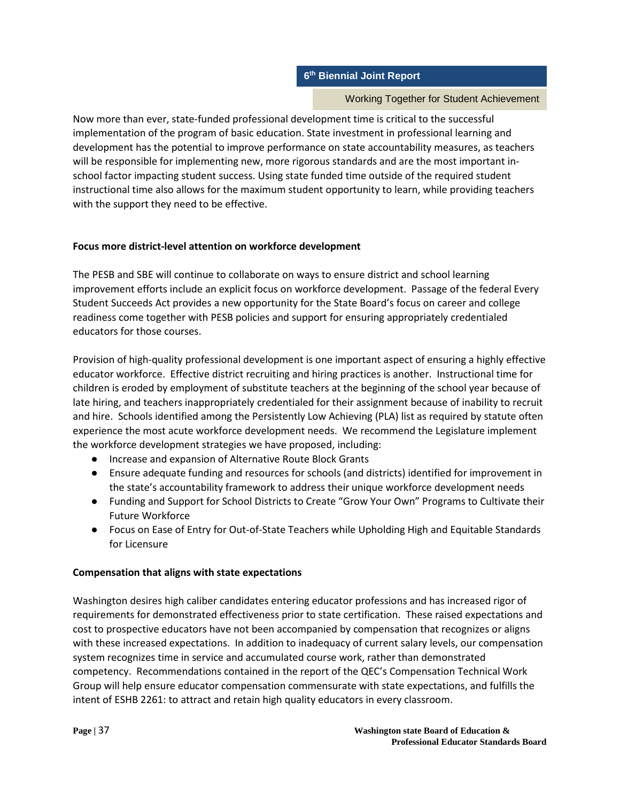### Working Together for Student Achievement

Now more than ever, state-funded professional development time is critical to the successful implementation of the program of basic education. State investment in professional learning and development has the potential to improve performance on state accountability measures, as teachers will be responsible for implementing new, more rigorous standards and are the most important inschool factor impacting student success. Using state funded time outside of the required student instructional time also allows for the maximum student opportunity to learn, while providing teachers with the support they need to be effective.

### **Focus more district-level attention on workforce development**

The PESB and SBE will continue to collaborate on ways to ensure district and school learning improvement efforts include an explicit focus on workforce development. Passage of the federal Every Student Succeeds Act provides a new opportunity for the State Board's focus on career and college readiness come together with PESB policies and support for ensuring appropriately credentialed educators for those courses.

Provision of high-quality professional development is one important aspect of ensuring a highly effective educator workforce. Effective district recruiting and hiring practices is another. Instructional time for children is eroded by employment of substitute teachers at the beginning of the school year because of late hiring, and teachers inappropriately credentialed for their assignment because of inability to recruit and hire. Schools identified among the Persistently Low Achieving (PLA) list as required by statute often experience the most acute workforce development needs. We recommend the Legislature implement the workforce development strategies we have proposed, including:

- Increase and expansion of Alternative Route Block Grants
- Ensure adequate funding and resources for schools (and districts) identified for improvement in the state's accountability framework to address their unique workforce development needs
- Funding and Support for School Districts to Create "Grow Your Own" Programs to Cultivate their Future Workforce
- Focus on Ease of Entry for Out-of-State Teachers while Upholding High and Equitable Standards for Licensure

### **Compensation that aligns with state expectations**

Washington desires high caliber candidates entering educator professions and has increased rigor of requirements for demonstrated effectiveness prior to state certification. These raised expectations and cost to prospective educators have not been accompanied by compensation that recognizes or aligns with these increased expectations. In addition to inadequacy of current salary levels, our compensation system recognizes time in service and accumulated course work, rather than demonstrated competency. Recommendations contained in the report of the QEC's Compensation Technical Work Group will help ensure educator compensation commensurate with state expectations, and fulfills the intent of ESHB 2261: to attract and retain high quality educators in every classroom.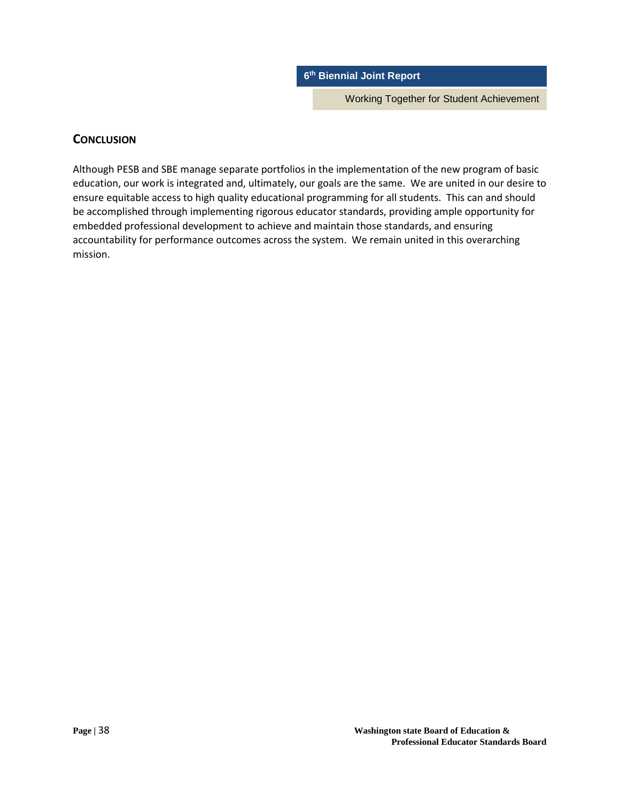Working Together for Student Achievement

### **CONCLUSION**

Although PESB and SBE manage separate portfolios in the implementation of the new program of basic education, our work is integrated and, ultimately, our goals are the same. We are united in our desire to ensure equitable access to high quality educational programming for all students. This can and should be accomplished through implementing rigorous educator standards, providing ample opportunity for embedded professional development to achieve and maintain those standards, and ensuring accountability for performance outcomes across the system. We remain united in this overarching mission.